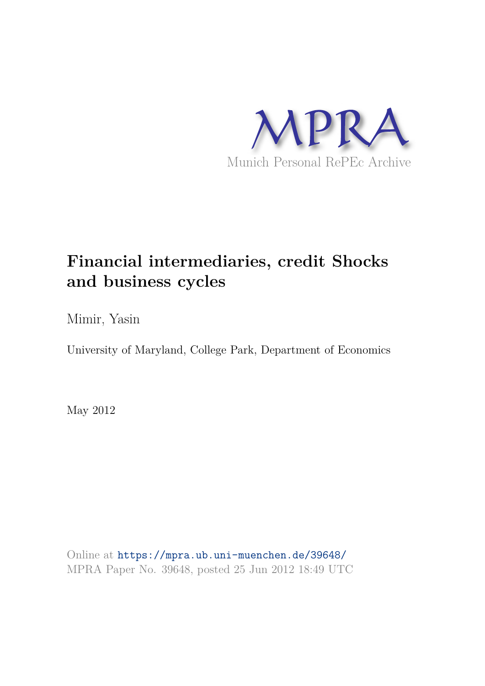

## **Financial intermediaries, credit Shocks and business cycles**

Mimir, Yasin

University of Maryland, College Park, Department of Economics

May 2012

Online at https://mpra.ub.uni-muenchen.de/39648/ MPRA Paper No. 39648, posted 25 Jun 2012 18:49 UTC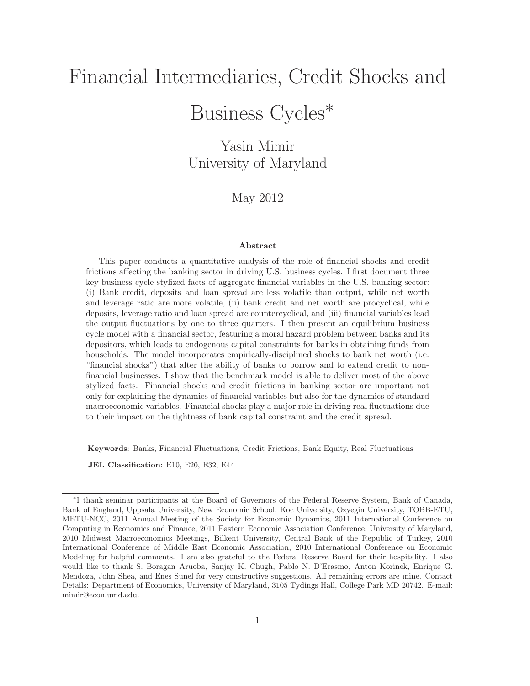# Financial Intermediaries, Credit Shocks and Business Cycles<sup>∗</sup>

Yasin Mimir University of Maryland

May 2012

#### Abstract

This paper conducts a quantitative analysis of the role of financial shocks and credit frictions affecting the banking sector in driving U.S. business cycles. I first document three key business cycle stylized facts of aggregate financial variables in the U.S. banking sector: (i) Bank credit, deposits and loan spread are less volatile than output, while net worth and leverage ratio are more volatile, (ii) bank credit and net worth are procyclical, while deposits, leverage ratio and loan spread are countercyclical, and (iii) financial variables lead the output fluctuations by one to three quarters. I then present an equilibrium business cycle model with a financial sector, featuring a moral hazard problem between banks and its depositors, which leads to endogenous capital constraints for banks in obtaining funds from households. The model incorporates empirically-disciplined shocks to bank net worth (i.e. "financial shocks") that alter the ability of banks to borrow and to extend credit to nonfinancial businesses. I show that the benchmark model is able to deliver most of the above stylized facts. Financial shocks and credit frictions in banking sector are important not only for explaining the dynamics of financial variables but also for the dynamics of standard macroeconomic variables. Financial shocks play a major role in driving real fluctuations due to their impact on the tightness of bank capital constraint and the credit spread.

Keywords: Banks, Financial Fluctuations, Credit Frictions, Bank Equity, Real Fluctuations

JEL Classification: E10, E20, E32, E44

<sup>∗</sup> I thank seminar participants at the Board of Governors of the Federal Reserve System, Bank of Canada, Bank of England, Uppsala University, New Economic School, Koc University, Ozyegin University, TOBB-ETU, METU-NCC, 2011 Annual Meeting of the Society for Economic Dynamics, 2011 International Conference on Computing in Economics and Finance, 2011 Eastern Economic Association Conference, University of Maryland, 2010 Midwest Macroeconomics Meetings, Bilkent University, Central Bank of the Republic of Turkey, 2010 International Conference of Middle East Economic Association, 2010 International Conference on Economic Modeling for helpful comments. I am also grateful to the Federal Reserve Board for their hospitality. I also would like to thank S. Boragan Aruoba, Sanjay K. Chugh, Pablo N. D'Erasmo, Anton Korinek, Enrique G. Mendoza, John Shea, and Enes Sunel for very constructive suggestions. All remaining errors are mine. Contact Details: Department of Economics, University of Maryland, 3105 Tydings Hall, College Park MD 20742. E-mail: mimir@econ.umd.edu.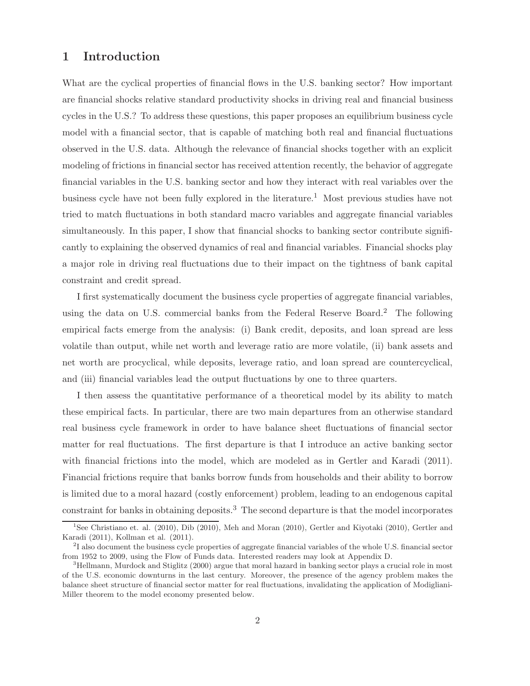## 1 Introduction

What are the cyclical properties of financial flows in the U.S. banking sector? How important are financial shocks relative standard productivity shocks in driving real and financial business cycles in the U.S.? To address these questions, this paper proposes an equilibrium business cycle model with a financial sector, that is capable of matching both real and financial fluctuations observed in the U.S. data. Although the relevance of financial shocks together with an explicit modeling of frictions in financial sector has received attention recently, the behavior of aggregate financial variables in the U.S. banking sector and how they interact with real variables over the business cycle have not been fully explored in the literature.<sup>1</sup> Most previous studies have not tried to match fluctuations in both standard macro variables and aggregate financial variables simultaneously. In this paper, I show that financial shocks to banking sector contribute significantly to explaining the observed dynamics of real and financial variables. Financial shocks play a major role in driving real fluctuations due to their impact on the tightness of bank capital constraint and credit spread.

I first systematically document the business cycle properties of aggregate financial variables, using the data on U.S. commercial banks from the Federal Reserve Board.<sup>2</sup> The following empirical facts emerge from the analysis: (i) Bank credit, deposits, and loan spread are less volatile than output, while net worth and leverage ratio are more volatile, (ii) bank assets and net worth are procyclical, while deposits, leverage ratio, and loan spread are countercyclical, and (iii) financial variables lead the output fluctuations by one to three quarters.

I then assess the quantitative performance of a theoretical model by its ability to match these empirical facts. In particular, there are two main departures from an otherwise standard real business cycle framework in order to have balance sheet fluctuations of financial sector matter for real fluctuations. The first departure is that I introduce an active banking sector with financial frictions into the model, which are modeled as in Gertler and Karadi (2011). Financial frictions require that banks borrow funds from households and their ability to borrow is limited due to a moral hazard (costly enforcement) problem, leading to an endogenous capital constraint for banks in obtaining deposits.<sup>3</sup> The second departure is that the model incorporates

<sup>1</sup> See Christiano et. al. (2010), Dib (2010), Meh and Moran (2010), Gertler and Kiyotaki (2010), Gertler and Karadi (2011), Kollman et al. (2011).

<sup>&</sup>lt;sup>2</sup>I also document the business cycle properties of aggregate financial variables of the whole U.S. financial sector from 1952 to 2009, using the Flow of Funds data. Interested readers may look at Appendix D.

<sup>3</sup>Hellmann, Murdock and Stiglitz (2000) argue that moral hazard in banking sector plays a crucial role in most of the U.S. economic downturns in the last century. Moreover, the presence of the agency problem makes the balance sheet structure of financial sector matter for real fluctuations, invalidating the application of Modigliani-Miller theorem to the model economy presented below.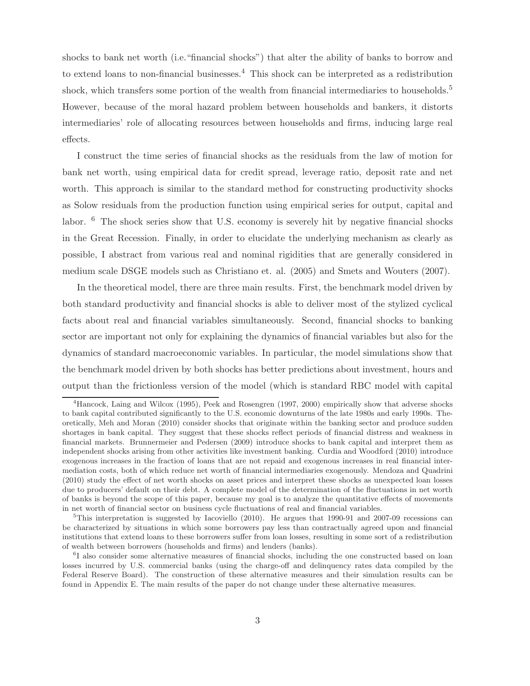shocks to bank net worth (i.e."financial shocks") that alter the ability of banks to borrow and to extend loans to non-financial businesses.<sup>4</sup> This shock can be interpreted as a redistribution shock, which transfers some portion of the wealth from financial intermediaries to households.<sup>5</sup> However, because of the moral hazard problem between households and bankers, it distorts intermediaries' role of allocating resources between households and firms, inducing large real effects.

I construct the time series of financial shocks as the residuals from the law of motion for bank net worth, using empirical data for credit spread, leverage ratio, deposit rate and net worth. This approach is similar to the standard method for constructing productivity shocks as Solow residuals from the production function using empirical series for output, capital and labor. <sup>6</sup> The shock series show that U.S. economy is severely hit by negative financial shocks in the Great Recession. Finally, in order to elucidate the underlying mechanism as clearly as possible, I abstract from various real and nominal rigidities that are generally considered in medium scale DSGE models such as Christiano et. al. (2005) and Smets and Wouters (2007).

In the theoretical model, there are three main results. First, the benchmark model driven by both standard productivity and financial shocks is able to deliver most of the stylized cyclical facts about real and financial variables simultaneously. Second, financial shocks to banking sector are important not only for explaining the dynamics of financial variables but also for the dynamics of standard macroeconomic variables. In particular, the model simulations show that the benchmark model driven by both shocks has better predictions about investment, hours and output than the frictionless version of the model (which is standard RBC model with capital

<sup>4</sup>Hancock, Laing and Wilcox (1995), Peek and Rosengren (1997, 2000) empirically show that adverse shocks to bank capital contributed significantly to the U.S. economic downturns of the late 1980s and early 1990s. Theoretically, Meh and Moran (2010) consider shocks that originate within the banking sector and produce sudden shortages in bank capital. They suggest that these shocks reflect periods of financial distress and weakness in financial markets. Brunnermeier and Pedersen (2009) introduce shocks to bank capital and interpret them as independent shocks arising from other activities like investment banking. Curdia and Woodford (2010) introduce exogenous increases in the fraction of loans that are not repaid and exogenous increases in real financial intermediation costs, both of which reduce net worth of financial intermediaries exogenously. Mendoza and Quadrini (2010) study the effect of net worth shocks on asset prices and interpret these shocks as unexpected loan losses due to producers' default on their debt. A complete model of the determination of the fluctuations in net worth of banks is beyond the scope of this paper, because my goal is to analyze the quantitative effects of movements in net worth of financial sector on business cycle fluctuations of real and financial variables.

<sup>&</sup>lt;sup>5</sup>This interpretation is suggested by Iacoviello (2010). He argues that 1990-91 and 2007-09 recessions can be characterized by situations in which some borrowers pay less than contractually agreed upon and financial institutions that extend loans to these borrowers suffer from loan losses, resulting in some sort of a redistribution of wealth between borrowers (households and firms) and lenders (banks).

<sup>&</sup>lt;sup>6</sup>I also consider some alternative measures of financial shocks, including the one constructed based on loan losses incurred by U.S. commercial banks (using the charge-off and delinquency rates data compiled by the Federal Reserve Board). The construction of these alternative measures and their simulation results can be found in Appendix E. The main results of the paper do not change under these alternative measures.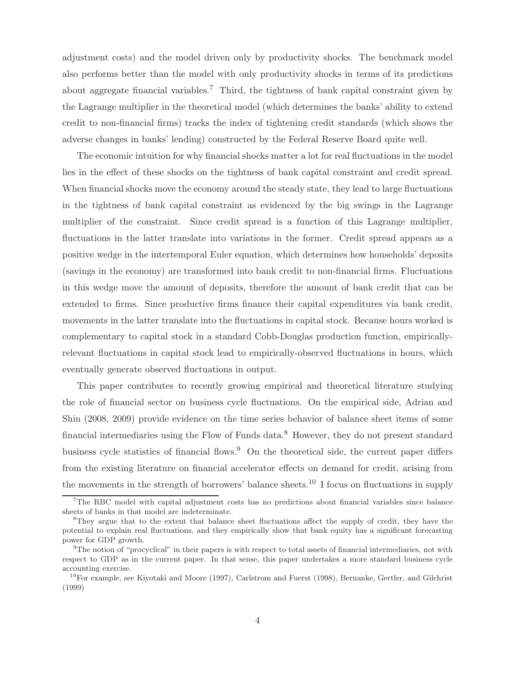adjustment costs) and the model driven only by productivity shocks. The benchmark model also performs better than the model with only productivity shocks in terms of its predictions about aggregate financial variables.<sup>7</sup> Third, the tightness of bank capital constraint given by the Lagrange multiplier in the theoretical model (which determines the banks' ability to extend credit to non-financial firms) tracks the index of tightening credit standards (which shows the adverse changes in banks' lending) constructed by the Federal Reserve Board quite well.

The economic intuition for why financial shocks matter a lot for real fluctuations in the model lies in the effect of these shocks on the tightness of bank capital constraint and credit spread. When financial shocks move the economy around the steady state, they lead to large fluctuations in the tightness of bank capital constraint as evidenced by the big swings in the Lagrange multiplier of the constraint. Since credit spread is a function of this Lagrange multiplier, fluctuations in the latter translate into variations in the former. Credit spread appears as a positive wedge in the intertemporal Euler equation, which determines how households' deposits (savings in the economy) are transformed into bank credit to non-financial firms. Fluctuations in this wedge move the amount of deposits, therefore the amount of bank credit that can be extended to firms. Since productive firms finance their capital expenditures via bank credit, movements in the latter translate into the fluctuations in capital stock. Because hours worked is complementary to capital stock in a standard Cobb-Douglas production function, empiricallyrelevant fluctuations in capital stock lead to empirically-observed fluctuations in hours, which eventually generate observed fluctuations in output.

This paper contributes to recently growing empirical and theoretical literature studying the role of financial sector on business cycle fluctuations. On the empirical side, Adrian and Shin (2008, 2009) provide evidence on the time series behavior of balance sheet items of some financial intermediaries using the Flow of Funds data.<sup>8</sup> However, they do not present standard business cycle statistics of financial flows.<sup>9</sup> On the theoretical side, the current paper differs from the existing literature on financial accelerator effects on demand for credit, arising from the movements in the strength of borrowers' balance sheets.<sup>10</sup> I focus on fluctuations in supply

 $7\text{The RBC model with capital adjustment costs has no predictions about financial variables since balance.}$ sheets of banks in that model are indeterminate.

<sup>8</sup>They argue that to the extent that balance sheet fluctuations affect the supply of credit, they have the potential to explain real fluctuations, and they empirically show that bank equity has a significant forecasting power for GDP growth.

<sup>9</sup>The notion of "procyclical" in their papers is with respect to total assets of financial intermediaries, not with respect to GDP as in the current paper. In that sense, this paper undertakes a more standard business cycle accounting exercise.

<sup>&</sup>lt;sup>10</sup>For example, see Kiyotaki and Moore (1997), Carlstrom and Fuerst (1998), Bernanke, Gertler, and Gilchrist (1999)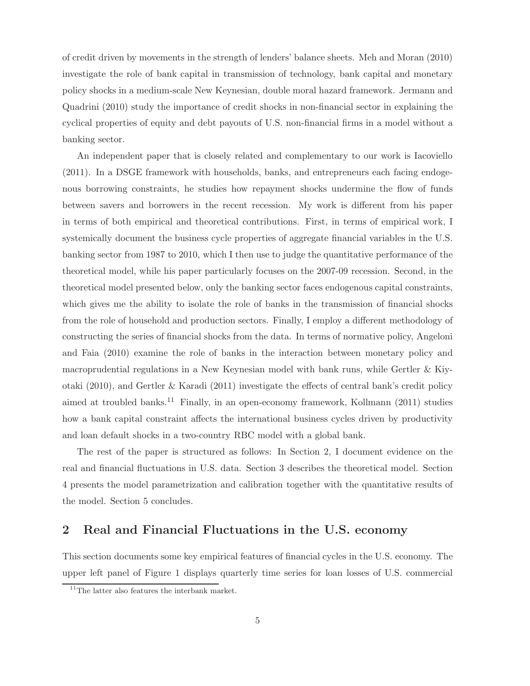of credit driven by movements in the strength of lenders' balance sheets. Meh and Moran (2010) investigate the role of bank capital in transmission of technology, bank capital and monetary policy shocks in a medium-scale New Keynesian, double moral hazard framework. Jermann and Quadrini (2010) study the importance of credit shocks in non-financial sector in explaining the cyclical properties of equity and debt payouts of U.S. non-financial firms in a model without a banking sector.

An independent paper that is closely related and complementary to our work is Iacoviello (2011). In a DSGE framework with households, banks, and entrepreneurs each facing endogenous borrowing constraints, he studies how repayment shocks undermine the flow of funds between savers and borrowers in the recent recession. My work is different from his paper in terms of both empirical and theoretical contributions. First, in terms of empirical work, I systemically document the business cycle properties of aggregate financial variables in the U.S. banking sector from 1987 to 2010, which I then use to judge the quantitative performance of the theoretical model, while his paper particularly focuses on the 2007-09 recession. Second, in the theoretical model presented below, only the banking sector faces endogenous capital constraints, which gives me the ability to isolate the role of banks in the transmission of financial shocks from the role of household and production sectors. Finally, I employ a different methodology of constructing the series of financial shocks from the data. In terms of normative policy, Angeloni and Faia (2010) examine the role of banks in the interaction between monetary policy and macroprudential regulations in a New Keynesian model with bank runs, while Gertler & Kiyotaki (2010), and Gertler & Karadi (2011) investigate the effects of central bank's credit policy aimed at troubled banks.<sup>11</sup> Finally, in an open-economy framework, Kollmann (2011) studies how a bank capital constraint affects the international business cycles driven by productivity and loan default shocks in a two-country RBC model with a global bank.

The rest of the paper is structured as follows: In Section 2, I document evidence on the real and financial fluctuations in U.S. data. Section 3 describes the theoretical model. Section 4 presents the model parametrization and calibration together with the quantitative results of the model. Section 5 concludes.

## 2 Real and Financial Fluctuations in the U.S. economy

This section documents some key empirical features of financial cycles in the U.S. economy. The upper left panel of Figure 1 displays quarterly time series for loan losses of U.S. commercial

 $11$ The latter also features the interbank market.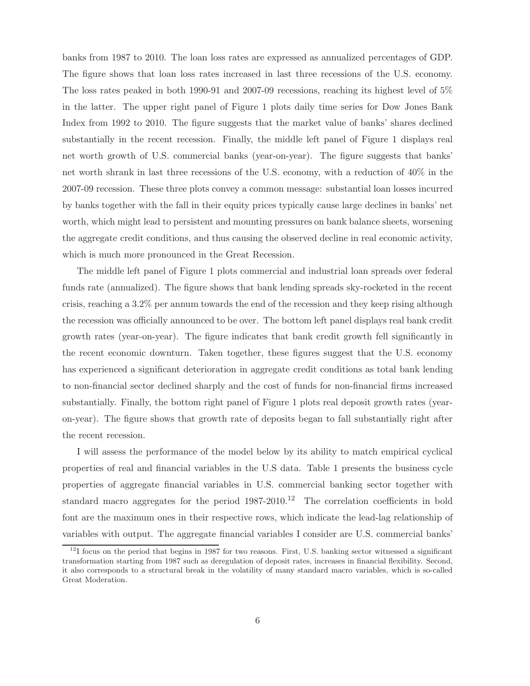banks from 1987 to 2010. The loan loss rates are expressed as annualized percentages of GDP. The figure shows that loan loss rates increased in last three recessions of the U.S. economy. The loss rates peaked in both 1990-91 and 2007-09 recessions, reaching its highest level of 5% in the latter. The upper right panel of Figure 1 plots daily time series for Dow Jones Bank Index from 1992 to 2010. The figure suggests that the market value of banks' shares declined substantially in the recent recession. Finally, the middle left panel of Figure 1 displays real net worth growth of U.S. commercial banks (year-on-year). The figure suggests that banks' net worth shrank in last three recessions of the U.S. economy, with a reduction of 40% in the 2007-09 recession. These three plots convey a common message: substantial loan losses incurred by banks together with the fall in their equity prices typically cause large declines in banks' net worth, which might lead to persistent and mounting pressures on bank balance sheets, worsening the aggregate credit conditions, and thus causing the observed decline in real economic activity, which is much more pronounced in the Great Recession.

The middle left panel of Figure 1 plots commercial and industrial loan spreads over federal funds rate (annualized). The figure shows that bank lending spreads sky-rocketed in the recent crisis, reaching a 3.2% per annum towards the end of the recession and they keep rising although the recession was officially announced to be over. The bottom left panel displays real bank credit growth rates (year-on-year). The figure indicates that bank credit growth fell significantly in the recent economic downturn. Taken together, these figures suggest that the U.S. economy has experienced a significant deterioration in aggregate credit conditions as total bank lending to non-financial sector declined sharply and the cost of funds for non-financial firms increased substantially. Finally, the bottom right panel of Figure 1 plots real deposit growth rates (yearon-year). The figure shows that growth rate of deposits began to fall substantially right after the recent recession.

I will assess the performance of the model below by its ability to match empirical cyclical properties of real and financial variables in the U.S data. Table 1 presents the business cycle properties of aggregate financial variables in U.S. commercial banking sector together with standard macro aggregates for the period  $1987-2010$ .<sup>12</sup> The correlation coefficients in bold font are the maximum ones in their respective rows, which indicate the lead-lag relationship of variables with output. The aggregate financial variables I consider are U.S. commercial banks'

 $12$ I focus on the period that begins in 1987 for two reasons. First, U.S. banking sector witnessed a significant transformation starting from 1987 such as deregulation of deposit rates, increases in financial flexibility. Second, it also corresponds to a structural break in the volatility of many standard macro variables, which is so-called Great Moderation.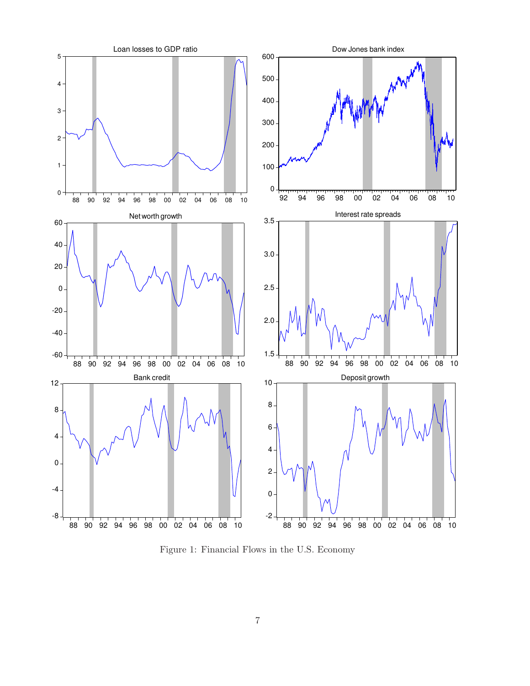

Figure 1: Financial Flows in the U.S. Economy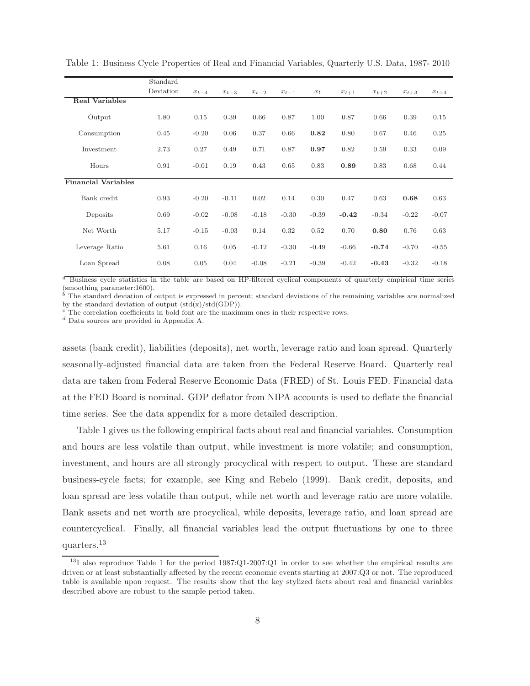|                            | Standard  |           |           |           |           |         |           |           |           |           |
|----------------------------|-----------|-----------|-----------|-----------|-----------|---------|-----------|-----------|-----------|-----------|
|                            | Deviation | $x_{t-4}$ | $x_{t-3}$ | $x_{t-2}$ | $x_{t-1}$ | $x_t$   | $x_{t+1}$ | $x_{t+2}$ | $x_{t+3}$ | $x_{t+4}$ |
| <b>Real Variables</b>      |           |           |           |           |           |         |           |           |           |           |
| Output                     | 1.80      | 0.15      | 0.39      | 0.66      | 0.87      | 1.00    | 0.87      | 0.66      | 0.39      | 0.15      |
| Consumption                | 0.45      | $-0.20$   | 0.06      | 0.37      | 0.66      | 0.82    | 0.80      | 0.67      | 0.46      | 0.25      |
| Investment                 | 2.73      | 0.27      | 0.49      | 0.71      | 0.87      | 0.97    | 0.82      | 0.59      | 0.33      | 0.09      |
| Hours                      | 0.91      | $-0.01$   | 0.19      | 0.43      | 0.65      | 0.83    | 0.89      | 0.83      | 0.68      | 0.44      |
| <b>Financial Variables</b> |           |           |           |           |           |         |           |           |           |           |
| Bank credit                | 0.93      | $-0.20$   | $-0.11$   | 0.02      | 0.14      | 0.30    | 0.47      | 0.63      | 0.68      | 0.63      |
| Deposits                   | 0.69      | $-0.02$   | $-0.08$   | $-0.18$   | $-0.30$   | $-0.39$ | $-0.42$   | $-0.34$   | $-0.22$   | $-0.07$   |
| Net Worth                  | 5.17      | $-0.15$   | $-0.03$   | 0.14      | 0.32      | 0.52    | 0.70      | 0.80      | 0.76      | 0.63      |
| Leverage Ratio             | 5.61      | 0.16      | 0.05      | $-0.12$   | $-0.30$   | $-0.49$ | $-0.66$   | $-0.74$   | $-0.70$   | $-0.55$   |
| Loan Spread                | 0.08      | 0.05      | 0.04      | $-0.08$   | $-0.21$   | $-0.39$ | $-0.42$   | $-0.43$   | $-0.32$   | $-0.18$   |

Table 1: Business Cycle Properties of Real and Financial Variables, Quarterly U.S. Data, 1987- 2010

 $a$  Business cycle statistics in the table are based on HP-filtered cyclical components of quarterly empirical time series (smoothing parameter:1600).

 $\overrightarrow{b}$  The standard deviation of output is expressed in percent; standard deviations of the remaining variables are normalized by the standard deviation of output  $(std(x)/std(GDP))$ .

 $c$  The correlation coefficients in bold font are the maximum ones in their respective rows.

<sup>d</sup> Data sources are provided in Appendix A.

assets (bank credit), liabilities (deposits), net worth, leverage ratio and loan spread. Quarterly seasonally-adjusted financial data are taken from the Federal Reserve Board. Quarterly real data are taken from Federal Reserve Economic Data (FRED) of St. Louis FED. Financial data at the FED Board is nominal. GDP deflator from NIPA accounts is used to deflate the financial time series. See the data appendix for a more detailed description.

Table 1 gives us the following empirical facts about real and financial variables. Consumption and hours are less volatile than output, while investment is more volatile; and consumption, investment, and hours are all strongly procyclical with respect to output. These are standard business-cycle facts; for example, see King and Rebelo (1999). Bank credit, deposits, and loan spread are less volatile than output, while net worth and leverage ratio are more volatile. Bank assets and net worth are procyclical, while deposits, leverage ratio, and loan spread are countercyclical. Finally, all financial variables lead the output fluctuations by one to three quarters.<sup>13</sup>

<sup>&</sup>lt;sup>13</sup>I also reproduce Table 1 for the period 1987:Q1-2007:Q1 in order to see whether the empirical results are driven or at least substantially affected by the recent economic events starting at 2007:Q3 or not. The reproduced table is available upon request. The results show that the key stylized facts about real and financial variables described above are robust to the sample period taken.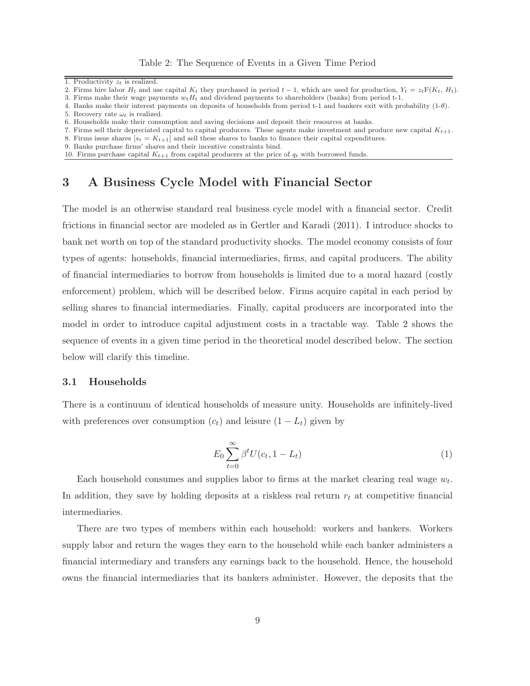2. Firms hire labor  $H_t$  and use capital  $K_t$  they purchased in period  $t - 1$ , which are used for production,  $Y_t = z_t \mathbb{F}(K_t, H_t)$ .

4. Banks make their interest payments on deposits of households from period t-1 and bankers exit with probability (1-θ).

- 7. Firms sell their depreciated capital to capital producers. These agents make investment and produce new capital  $K_{t+1}$ .
- 8. Firms issue shares  $[s_t = K_{t+1}]$  and sell these shares to banks to finance their capital expenditures.
- 9. Banks purchase firms' shares and their incentive constraints bind.
- 10. Firms purchase capital  $K_{t+1}$  from capital producers at the price of  $q_t$  with borrowed funds.

## 3 A Business Cycle Model with Financial Sector

The model is an otherwise standard real business cycle model with a financial sector. Credit frictions in financial sector are modeled as in Gertler and Karadi (2011). I introduce shocks to bank net worth on top of the standard productivity shocks. The model economy consists of four types of agents: households, financial intermediaries, firms, and capital producers. The ability of financial intermediaries to borrow from households is limited due to a moral hazard (costly enforcement) problem, which will be described below. Firms acquire capital in each period by selling shares to financial intermediaries. Finally, capital producers are incorporated into the model in order to introduce capital adjustment costs in a tractable way. Table 2 shows the sequence of events in a given time period in the theoretical model described below. The section below will clarify this timeline.

#### 3.1 Households

There is a continuum of identical households of measure unity. Households are infinitely-lived with preferences over consumption  $(c_t)$  and leisure  $(1 - L_t)$  given by

$$
E_0 \sum_{t=0}^{\infty} \beta^t U(c_t, 1 - L_t)
$$
\n(1)

Each household consumes and supplies labor to firms at the market clearing real wage  $w_t$ . In addition, they save by holding deposits at a riskless real return  $r_t$  at competitive financial intermediaries.

There are two types of members within each household: workers and bankers. Workers supply labor and return the wages they earn to the household while each banker administers a financial intermediary and transfers any earnings back to the household. Hence, the household owns the financial intermediaries that its bankers administer. However, the deposits that the

<sup>1.</sup> Productivity  $z_t$  is realized.

<sup>3.</sup> Firms make their wage payments  $w_t H_t$  and dividend payments to shareholders (banks) from period t-1.

<sup>5.</sup> Recovery rate  $\omega_t$  is realized.

<sup>6.</sup> Households make their consumption and saving decisions and deposit their resources at banks.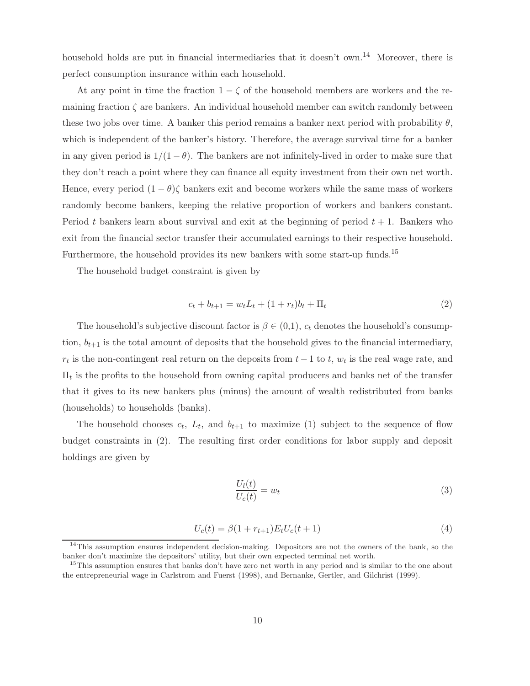household holds are put in financial intermediaries that it doesn't own.<sup>14</sup> Moreover, there is perfect consumption insurance within each household.

At any point in time the fraction  $1 - \zeta$  of the household members are workers and the remaining fraction  $\zeta$  are bankers. An individual household member can switch randomly between these two jobs over time. A banker this period remains a banker next period with probability  $\theta$ , which is independent of the banker's history. Therefore, the average survival time for a banker in any given period is  $1/(1 - \theta)$ . The bankers are not infinitely-lived in order to make sure that they don't reach a point where they can finance all equity investment from their own net worth. Hence, every period  $(1 - \theta)\zeta$  bankers exit and become workers while the same mass of workers randomly become bankers, keeping the relative proportion of workers and bankers constant. Period t bankers learn about survival and exit at the beginning of period  $t + 1$ . Bankers who exit from the financial sector transfer their accumulated earnings to their respective household. Furthermore, the household provides its new bankers with some start-up funds.<sup>15</sup>

The household budget constraint is given by

$$
c_t + b_{t+1} = w_t L_t + (1 + r_t) b_t + \Pi_t \tag{2}
$$

The household's subjective discount factor is  $\beta \in (0,1)$ ,  $c_t$  denotes the household's consumption,  $b_{t+1}$  is the total amount of deposits that the household gives to the financial intermediary,  $r_t$  is the non-contingent real return on the deposits from  $t-1$  to  $t$ ,  $w_t$  is the real wage rate, and  $\Pi_t$  is the profits to the household from owning capital producers and banks net of the transfer that it gives to its new bankers plus (minus) the amount of wealth redistributed from banks (households) to households (banks).

The household chooses  $c_t$ ,  $L_t$ , and  $b_{t+1}$  to maximize (1) subject to the sequence of flow budget constraints in (2). The resulting first order conditions for labor supply and deposit holdings are given by

$$
\frac{U_l(t)}{U_c(t)} = w_t \tag{3}
$$

$$
U_c(t) = \beta(1 + r_{t+1})E_t U_c(t+1)
$$
\n(4)

<sup>&</sup>lt;sup>14</sup>This assumption ensures independent decision-making. Depositors are not the owners of the bank, so the banker don't maximize the depositors' utility, but their own expected terminal net worth.

<sup>&</sup>lt;sup>15</sup>This assumption ensures that banks don't have zero net worth in any period and is similar to the one about the entrepreneurial wage in Carlstrom and Fuerst (1998), and Bernanke, Gertler, and Gilchrist (1999).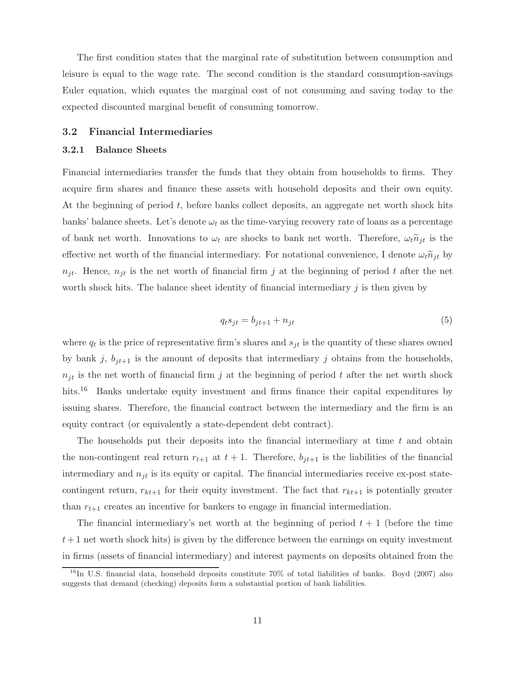The first condition states that the marginal rate of substitution between consumption and leisure is equal to the wage rate. The second condition is the standard consumption-savings Euler equation, which equates the marginal cost of not consuming and saving today to the expected discounted marginal benefit of consuming tomorrow.

#### 3.2 Financial Intermediaries

#### 3.2.1 Balance Sheets

Financial intermediaries transfer the funds that they obtain from households to firms. They acquire firm shares and finance these assets with household deposits and their own equity. At the beginning of period  $t$ , before banks collect deposits, an aggregate net worth shock hits banks' balance sheets. Let's denote  $\omega_t$  as the time-varying recovery rate of loans as a percentage of bank net worth. Innovations to  $\omega_t$  are shocks to bank net worth. Therefore,  $\omega_t \tilde{n}_{jt}$  is the effective net worth of the financial intermediary. For notational convenience, I denote  $\omega_t \tilde{n}_{jt}$  by  $n_{it}$ . Hence,  $n_{it}$  is the net worth of financial firm j at the beginning of period t after the net worth shock hits. The balance sheet identity of financial intermediary  $i$  is then given by

$$
q_t s_{jt} = b_{jt+1} + n_{jt} \tag{5}
$$

where  $q_t$  is the price of representative firm's shares and  $s_{jt}$  is the quantity of these shares owned by bank j,  $b_{it+1}$  is the amount of deposits that intermediary j obtains from the households,  $n_{jt}$  is the net worth of financial firm j at the beginning of period t after the net worth shock hits.<sup>16</sup> Banks undertake equity investment and firms finance their capital expenditures by issuing shares. Therefore, the financial contract between the intermediary and the firm is an equity contract (or equivalently a state-dependent debt contract).

The households put their deposits into the financial intermediary at time  $t$  and obtain the non-contingent real return  $r_{t+1}$  at  $t+1$ . Therefore,  $b_{it+1}$  is the liabilities of the financial intermediary and  $n_{it}$  is its equity or capital. The financial intermediaries receive ex-post statecontingent return,  $r_{kt+1}$  for their equity investment. The fact that  $r_{kt+1}$  is potentially greater than  $r_{t+1}$  creates an incentive for bankers to engage in financial intermediation.

The financial intermediary's net worth at the beginning of period  $t + 1$  (before the time  $t+1$  net worth shock hits) is given by the difference between the earnings on equity investment in firms (assets of financial intermediary) and interest payments on deposits obtained from the

<sup>&</sup>lt;sup>16</sup>In U.S. financial data, household deposits constitute 70% of total liabilities of banks. Boyd (2007) also suggests that demand (checking) deposits form a substantial portion of bank liabilities.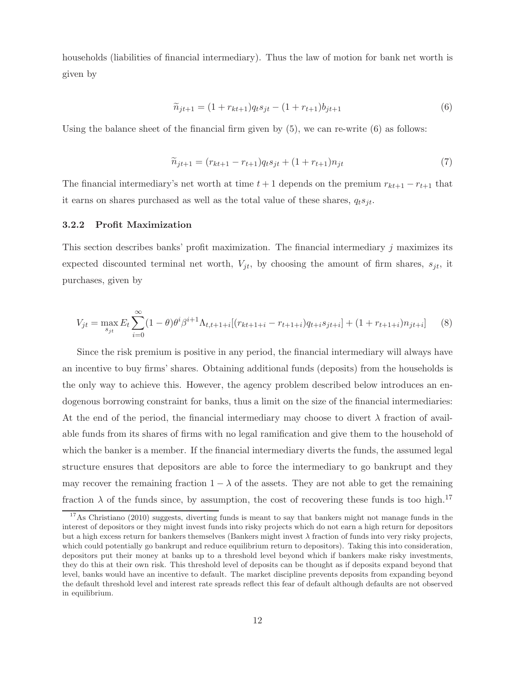households (liabilities of financial intermediary). Thus the law of motion for bank net worth is given by

$$
\widetilde{n}_{jt+1} = (1 + r_{kt+1})q_ts_{jt} - (1 + r_{t+1})b_{jt+1}
$$
\n(6)

Using the balance sheet of the financial firm given by  $(5)$ , we can re-write  $(6)$  as follows:

$$
\widetilde{n}_{jt+1} = (r_{kt+1} - r_{t+1})q_t s_{jt} + (1 + r_{t+1})n_{jt} \tag{7}
$$

The financial intermediary's net worth at time  $t + 1$  depends on the premium  $r_{kt+1} - r_{t+1}$  that it earns on shares purchased as well as the total value of these shares,  $q_t s_{it}$ .

#### 3.2.2 Profit Maximization

This section describes banks' profit maximization. The financial intermediary  $j$  maximizes its expected discounted terminal net worth,  $V_{it}$ , by choosing the amount of firm shares,  $s_{it}$ , it purchases, given by

$$
V_{jt} = \max_{s_{jt}} E_t \sum_{i=0}^{\infty} (1 - \theta) \theta^i \beta^{i+1} \Lambda_{t, t+1+i} [(r_{kt+1+i} - r_{t+1+i}) q_{t+i} s_{jt+i}] + (1 + r_{t+1+i}) n_{jt+i}] \tag{8}
$$

Since the risk premium is positive in any period, the financial intermediary will always have an incentive to buy firms' shares. Obtaining additional funds (deposits) from the households is the only way to achieve this. However, the agency problem described below introduces an endogenous borrowing constraint for banks, thus a limit on the size of the financial intermediaries: At the end of the period, the financial intermediary may choose to divert  $\lambda$  fraction of available funds from its shares of firms with no legal ramification and give them to the household of which the banker is a member. If the financial intermediary diverts the funds, the assumed legal structure ensures that depositors are able to force the intermediary to go bankrupt and they may recover the remaining fraction  $1 - \lambda$  of the assets. They are not able to get the remaining fraction  $\lambda$  of the funds since, by assumption, the cost of recovering these funds is too high.<sup>17</sup>

<sup>&</sup>lt;sup>17</sup>As Christiano (2010) suggests, diverting funds is meant to say that bankers might not manage funds in the interest of depositors or they might invest funds into risky projects which do not earn a high return for depositors but a high excess return for bankers themselves (Bankers might invest  $\lambda$  fraction of funds into very risky projects, which could potentially go bankrupt and reduce equilibrium return to depositors). Taking this into consideration, depositors put their money at banks up to a threshold level beyond which if bankers make risky investments, they do this at their own risk. This threshold level of deposits can be thought as if deposits expand beyond that level, banks would have an incentive to default. The market discipline prevents deposits from expanding beyond the default threshold level and interest rate spreads reflect this fear of default although defaults are not observed in equilibrium.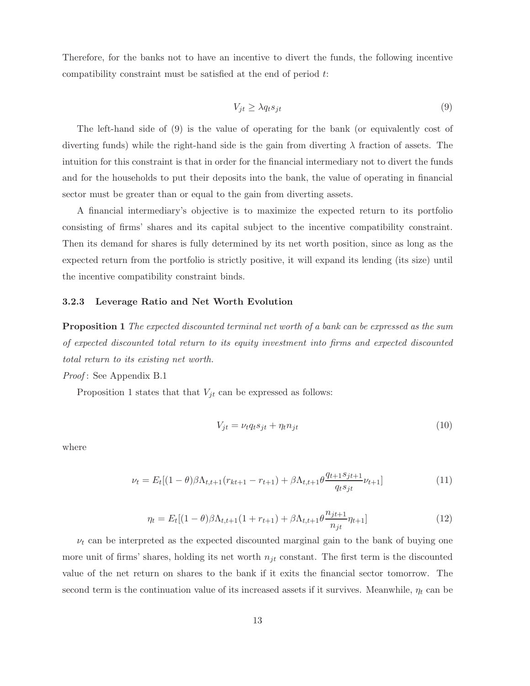Therefore, for the banks not to have an incentive to divert the funds, the following incentive compatibility constraint must be satisfied at the end of period t:

$$
V_{jt} \ge \lambda q_t s_{jt} \tag{9}
$$

The left-hand side of (9) is the value of operating for the bank (or equivalently cost of diverting funds) while the right-hand side is the gain from diverting  $\lambda$  fraction of assets. The intuition for this constraint is that in order for the financial intermediary not to divert the funds and for the households to put their deposits into the bank, the value of operating in financial sector must be greater than or equal to the gain from diverting assets.

A financial intermediary's objective is to maximize the expected return to its portfolio consisting of firms' shares and its capital subject to the incentive compatibility constraint. Then its demand for shares is fully determined by its net worth position, since as long as the expected return from the portfolio is strictly positive, it will expand its lending (its size) until the incentive compatibility constraint binds.

#### 3.2.3 Leverage Ratio and Net Worth Evolution

**Proposition 1** The expected discounted terminal net worth of a bank can be expressed as the sum of expected discounted total return to its equity investment into firms and expected discounted total return to its existing net worth.

Proof: See Appendix B.1

Proposition 1 states that that  $V_{jt}$  can be expressed as follows:

$$
V_{jt} = \nu_t q_t s_{jt} + \eta_t n_{jt} \tag{10}
$$

where

$$
\nu_t = E_t[(1-\theta)\beta\Lambda_{t,t+1}(r_{kt+1} - r_{t+1}) + \beta\Lambda_{t,t+1}\theta \frac{q_{t+1}s_{jt+1}}{q_ts_{jt}}\nu_{t+1}]
$$
\n(11)

$$
\eta_t = E_t[(1-\theta)\beta\Lambda_{t,t+1}(1+r_{t+1}) + \beta\Lambda_{t,t+1}\theta \frac{n_{jt+1}}{n_{jt}}\eta_{t+1}]
$$
\n(12)

 $\nu_t$  can be interpreted as the expected discounted marginal gain to the bank of buying one more unit of firms' shares, holding its net worth  $n_{it}$  constant. The first term is the discounted value of the net return on shares to the bank if it exits the financial sector tomorrow. The second term is the continuation value of its increased assets if it survives. Meanwhile,  $\eta_t$  can be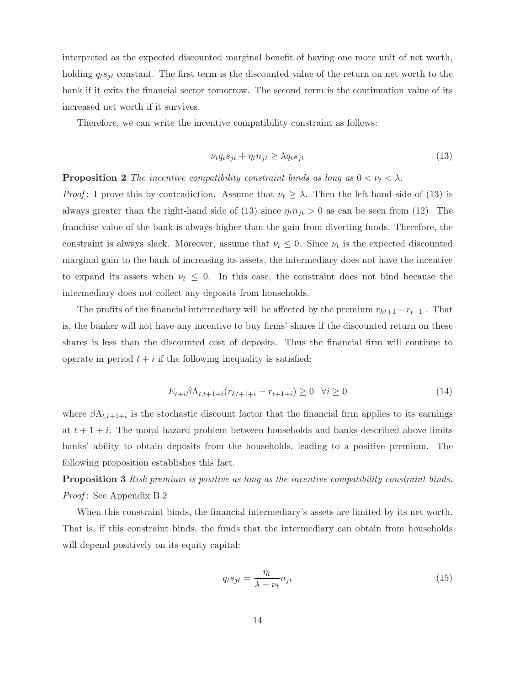interpreted as the expected discounted marginal benefit of having one more unit of net worth, holding  $q_t s_{jt}$  constant. The first term is the discounted value of the return on net worth to the bank if it exits the financial sector tomorrow. The second term is the continuation value of its increased net worth if it survives.

Therefore, we can write the incentive compatibility constraint as follows:

$$
\nu_t q_t s_{jt} + \eta_t n_{jt} \ge \lambda q_t s_{jt} \tag{13}
$$

**Proposition 2** The incentive compatibility constraint binds as long as  $0 < \nu_t < \lambda$ .

*Proof*: I prove this by contradiction. Assume that  $\nu_t \geq \lambda$ . Then the left-hand side of (13) is always greater than the right-hand side of (13) since  $\eta_t n_{jt} > 0$  as can be seen from (12). The franchise value of the bank is always higher than the gain from diverting funds. Therefore, the constraint is always slack. Moreover, assume that  $\nu_t \leq 0$ . Since  $\nu_t$  is the expected discounted marginal gain to the bank of increasing its assets, the intermediary does not have the incentive to expand its assets when  $\nu_t \leq 0$ . In this case, the constraint does not bind because the intermediary does not collect any deposits from households.

The profits of the financial intermediary will be affected by the premium  $r_{kt+1} - r_{t+1}$ . That is, the banker will not have any incentive to buy firms' shares if the discounted return on these shares is less than the discounted cost of deposits. Thus the financial firm will continue to operate in period  $t + i$  if the following inequality is satisfied:

$$
E_{t+i} \beta \Lambda_{t,t+1+i} (r_{kt+1+i} - r_{t+1+i}) \ge 0 \quad \forall i \ge 0 \tag{14}
$$

where  $\beta \Lambda_{t,t+1+i}$  is the stochastic discount factor that the financial firm applies to its earnings at  $t + 1 + i$ . The moral hazard problem between households and banks described above limits banks' ability to obtain deposits from the households, leading to a positive premium. The following proposition establishes this fact.

**Proposition 3** Risk premium is positive as long as the incentive compatibility constraint binds. Proof: See Appendix B.2

When this constraint binds, the financial intermediary's assets are limited by its net worth. That is, if this constraint binds, the funds that the intermediary can obtain from households will depend positively on its equity capital:

$$
q_t s_{jt} = \frac{\eta_t}{\lambda - \nu_t} n_{jt} \tag{15}
$$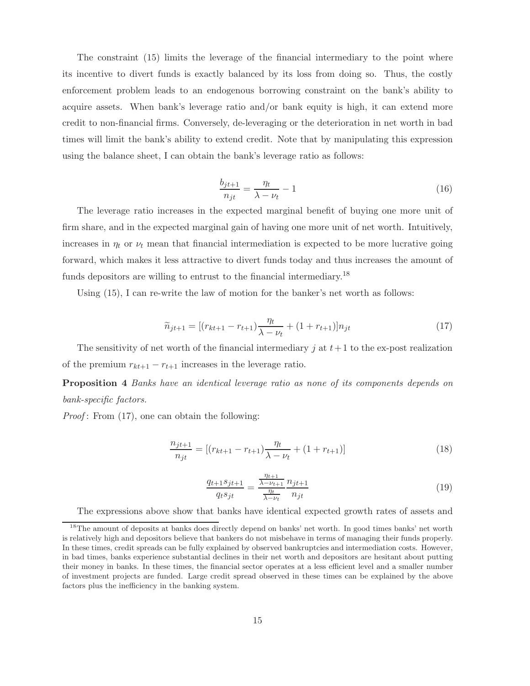The constraint (15) limits the leverage of the financial intermediary to the point where its incentive to divert funds is exactly balanced by its loss from doing so. Thus, the costly enforcement problem leads to an endogenous borrowing constraint on the bank's ability to acquire assets. When bank's leverage ratio and/or bank equity is high, it can extend more credit to non-financial firms. Conversely, de-leveraging or the deterioration in net worth in bad times will limit the bank's ability to extend credit. Note that by manipulating this expression using the balance sheet, I can obtain the bank's leverage ratio as follows:

$$
\frac{b_{jt+1}}{n_{jt}} = \frac{\eta_t}{\lambda - \nu_t} - 1\tag{16}
$$

The leverage ratio increases in the expected marginal benefit of buying one more unit of firm share, and in the expected marginal gain of having one more unit of net worth. Intuitively, increases in  $\eta_t$  or  $\nu_t$  mean that financial intermediation is expected to be more lucrative going forward, which makes it less attractive to divert funds today and thus increases the amount of funds depositors are willing to entrust to the financial intermediary.<sup>18</sup>

Using (15), I can re-write the law of motion for the banker's net worth as follows:

$$
\widetilde{n}_{jt+1} = [(r_{kt+1} - r_{t+1})\frac{\eta_t}{\lambda - \nu_t} + (1 + r_{t+1})]n_{jt} \tag{17}
$$

The sensitivity of net worth of the financial intermediary j at  $t+1$  to the ex-post realization of the premium  $r_{kt+1} - r_{t+1}$  increases in the leverage ratio.

Proposition 4 Banks have an identical leverage ratio as none of its components depends on bank-specific factors.

*Proof*: From  $(17)$ , one can obtain the following:

$$
\frac{n_{jt+1}}{n_{jt}} = [(r_{kt+1} - r_{t+1})\frac{\eta_t}{\lambda - \nu_t} + (1 + r_{t+1})]
$$
\n(18)

$$
\frac{q_{t+1}s_{jt+1}}{q_ts_{jt}} = \frac{\frac{\eta_{t+1}}{\lambda - \nu_{t+1}}}{\frac{\eta_t}{\lambda - \nu_t}} \frac{n_{jt+1}}{n_{jt}} \tag{19}
$$

The expressions above show that banks have identical expected growth rates of assets and

<sup>&</sup>lt;sup>18</sup>The amount of deposits at banks does directly depend on banks' net worth. In good times banks' net worth is relatively high and depositors believe that bankers do not misbehave in terms of managing their funds properly. In these times, credit spreads can be fully explained by observed bankruptcies and intermediation costs. However, in bad times, banks experience substantial declines in their net worth and depositors are hesitant about putting their money in banks. In these times, the financial sector operates at a less efficient level and a smaller number of investment projects are funded. Large credit spread observed in these times can be explained by the above factors plus the inefficiency in the banking system.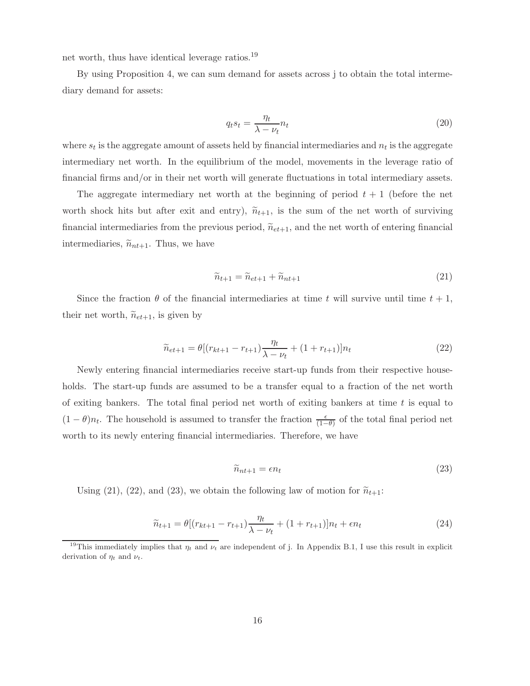net worth, thus have identical leverage ratios.<sup>19</sup>

By using Proposition 4, we can sum demand for assets across j to obtain the total intermediary demand for assets:

$$
q_t s_t = \frac{\eta_t}{\lambda - \nu_t} n_t \tag{20}
$$

where  $s_t$  is the aggregate amount of assets held by financial intermediaries and  $n_t$  is the aggregate intermediary net worth. In the equilibrium of the model, movements in the leverage ratio of financial firms and/or in their net worth will generate fluctuations in total intermediary assets.

The aggregate intermediary net worth at the beginning of period  $t + 1$  (before the net worth shock hits but after exit and entry),  $\tilde{n}_{t+1}$ , is the sum of the net worth of surviving financial intermediaries from the previous period,  $\tilde{n}_{et+1}$ , and the net worth of entering financial intermediaries,  $\tilde{n}_{nt+1}$ . Thus, we have

$$
\widetilde{n}_{t+1} = \widetilde{n}_{et+1} + \widetilde{n}_{nt+1} \tag{21}
$$

Since the fraction  $\theta$  of the financial intermediaries at time t will survive until time  $t + 1$ , their net worth,  $\widetilde{n}_{et+1}$ , is given by

$$
\widetilde{n}_{et+1} = \theta \left[ (r_{kt+1} - r_{t+1}) \frac{\eta_t}{\lambda - \nu_t} + (1 + r_{t+1}) \right] n_t \tag{22}
$$

Newly entering financial intermediaries receive start-up funds from their respective households. The start-up funds are assumed to be a transfer equal to a fraction of the net worth of exiting bankers. The total final period net worth of exiting bankers at time  $t$  is equal to  $(1 - \theta)n_t$ . The household is assumed to transfer the fraction  $\frac{\epsilon}{(1-\theta)}$  of the total final period net worth to its newly entering financial intermediaries. Therefore, we have

$$
\widetilde{n}_{nt+1} = \epsilon n_t \tag{23}
$$

Using (21), (22), and (23), we obtain the following law of motion for  $\widetilde{n}_{t+1}$ :

$$
\widetilde{n}_{t+1} = \theta \left[ (r_{kt+1} - r_{t+1}) \frac{\eta_t}{\lambda - \nu_t} + (1 + r_{t+1}) \right] n_t + \epsilon n_t \tag{24}
$$

<sup>&</sup>lt;sup>19</sup>This immediately implies that  $\eta_t$  and  $\nu_t$  are independent of j. In Appendix B.1, I use this result in explicit derivation of  $\eta_t$  and  $\nu_t$ .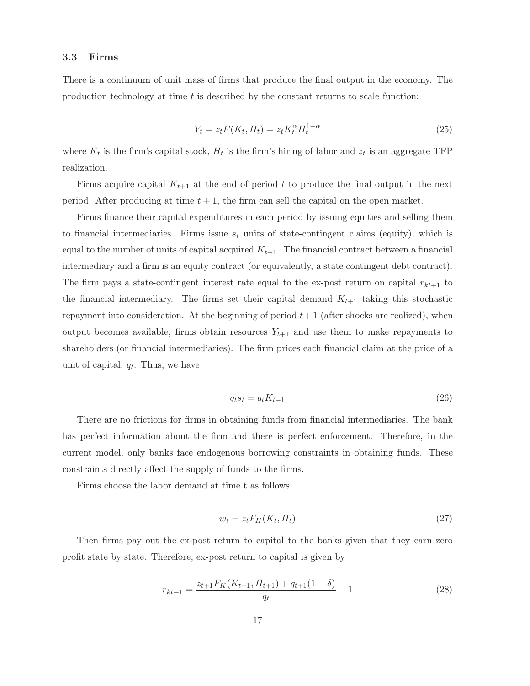#### 3.3 Firms

There is a continuum of unit mass of firms that produce the final output in the economy. The production technology at time  $t$  is described by the constant returns to scale function:

$$
Y_t = z_t F(K_t, H_t) = z_t K_t^{\alpha} H_t^{1-\alpha}
$$
\n(25)

where  $K_t$  is the firm's capital stock,  $H_t$  is the firm's hiring of labor and  $z_t$  is an aggregate TFP realization.

Firms acquire capital  $K_{t+1}$  at the end of period t to produce the final output in the next period. After producing at time  $t + 1$ , the firm can sell the capital on the open market.

Firms finance their capital expenditures in each period by issuing equities and selling them to financial intermediaries. Firms issue  $s_t$  units of state-contingent claims (equity), which is equal to the number of units of capital acquired  $K_{t+1}$ . The financial contract between a financial intermediary and a firm is an equity contract (or equivalently, a state contingent debt contract). The firm pays a state-contingent interest rate equal to the ex-post return on capital  $r_{kt+1}$  to the financial intermediary. The firms set their capital demand  $K_{t+1}$  taking this stochastic repayment into consideration. At the beginning of period  $t+1$  (after shocks are realized), when output becomes available, firms obtain resources  $Y_{t+1}$  and use them to make repayments to shareholders (or financial intermediaries). The firm prices each financial claim at the price of a unit of capital,  $q_t$ . Thus, we have

$$
q_t s_t = q_t K_{t+1} \tag{26}
$$

There are no frictions for firms in obtaining funds from financial intermediaries. The bank has perfect information about the firm and there is perfect enforcement. Therefore, in the current model, only banks face endogenous borrowing constraints in obtaining funds. These constraints directly affect the supply of funds to the firms.

Firms choose the labor demand at time t as follows:

$$
w_t = z_t F_H(K_t, H_t) \tag{27}
$$

Then firms pay out the ex-post return to capital to the banks given that they earn zero profit state by state. Therefore, ex-post return to capital is given by

$$
r_{kt+1} = \frac{z_{t+1} F_K(K_{t+1}, H_{t+1}) + q_{t+1} (1 - \delta)}{q_t} - 1
$$
\n(28)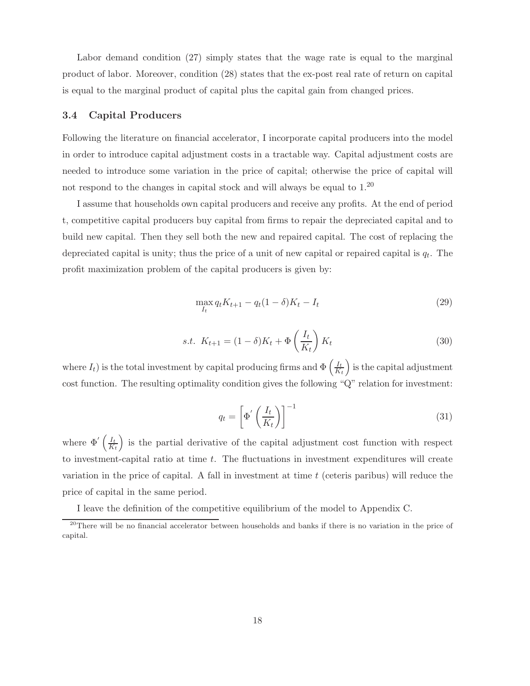Labor demand condition (27) simply states that the wage rate is equal to the marginal product of labor. Moreover, condition (28) states that the ex-post real rate of return on capital is equal to the marginal product of capital plus the capital gain from changed prices.

#### 3.4 Capital Producers

Following the literature on financial accelerator, I incorporate capital producers into the model in order to introduce capital adjustment costs in a tractable way. Capital adjustment costs are needed to introduce some variation in the price of capital; otherwise the price of capital will not respond to the changes in capital stock and will always be equal to  $1.20\,$ 

I assume that households own capital producers and receive any profits. At the end of period t, competitive capital producers buy capital from firms to repair the depreciated capital and to build new capital. Then they sell both the new and repaired capital. The cost of replacing the depreciated capital is unity; thus the price of a unit of new capital or repaired capital is  $q_t$ . The profit maximization problem of the capital producers is given by:

$$
\max_{I_t} q_t K_{t+1} - q_t (1 - \delta) K_t - I_t \tag{29}
$$

$$
s.t. \ K_{t+1} = (1 - \delta)K_t + \Phi\left(\frac{I_t}{K_t}\right)K_t \tag{30}
$$

where  $I_t$ ) is the total investment by capital producing firms and  $\Phi\left(\frac{I_t}{K_t}\right)$  $K_t$ ) is the capital adjustment cost function. The resulting optimality condition gives the following "Q" relation for investment:

$$
q_t = \left[ \Phi' \left( \frac{I_t}{K_t} \right) \right]^{-1} \tag{31}
$$

where  $\Phi' \left( \frac{I_t}{K} \right)$  $K_t$ ) is the partial derivative of the capital adjustment cost function with respect to investment-capital ratio at time t. The fluctuations in investment expenditures will create variation in the price of capital. A fall in investment at time  $t$  (ceteris paribus) will reduce the price of capital in the same period.

I leave the definition of the competitive equilibrium of the model to Appendix C.

<sup>&</sup>lt;sup>20</sup>There will be no financial accelerator between households and banks if there is no variation in the price of capital.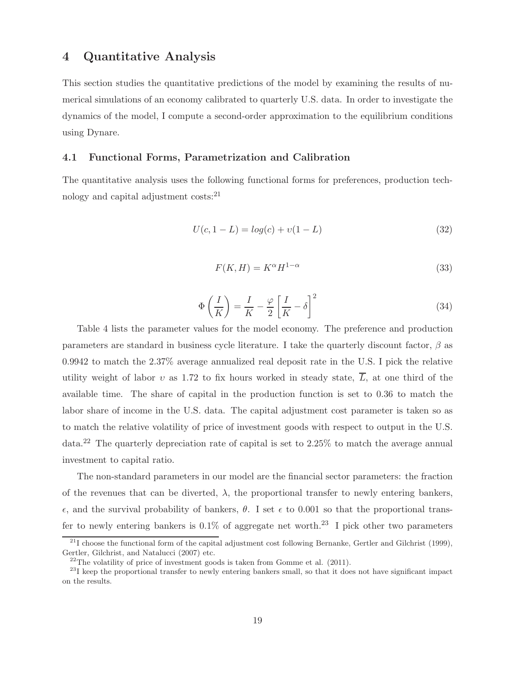## 4 Quantitative Analysis

This section studies the quantitative predictions of the model by examining the results of numerical simulations of an economy calibrated to quarterly U.S. data. In order to investigate the dynamics of the model, I compute a second-order approximation to the equilibrium conditions using Dynare.

#### 4.1 Functional Forms, Parametrization and Calibration

The quantitative analysis uses the following functional forms for preferences, production technology and capital adjustment costs:<sup>21</sup>

$$
U(c, 1 - L) = log(c) + v(1 - L)
$$
\n(32)

$$
F(K,H) = K^{\alpha} H^{1-\alpha} \tag{33}
$$

$$
\Phi\left(\frac{I}{K}\right) = \frac{I}{K} - \frac{\varphi}{2} \left[\frac{I}{K} - \delta\right]^2 \tag{34}
$$

Table 4 lists the parameter values for the model economy. The preference and production parameters are standard in business cycle literature. I take the quarterly discount factor,  $\beta$  as 0.9942 to match the 2.37% average annualized real deposit rate in the U.S. I pick the relative utility weight of labor v as 1.72 to fix hours worked in steady state,  $\overline{L}$ , at one third of the available time. The share of capital in the production function is set to 0.36 to match the labor share of income in the U.S. data. The capital adjustment cost parameter is taken so as to match the relative volatility of price of investment goods with respect to output in the U.S. data.<sup>22</sup> The quarterly depreciation rate of capital is set to 2.25% to match the average annual investment to capital ratio.

The non-standard parameters in our model are the financial sector parameters: the fraction of the revenues that can be diverted,  $\lambda$ , the proportional transfer to newly entering bankers,  $\epsilon$ , and the survival probability of bankers,  $\theta$ . I set  $\epsilon$  to 0.001 so that the proportional transfer to newly entering bankers is  $0.1\%$  of aggregate net worth.<sup>23</sup> I pick other two parameters

 $^{21}$ I choose the functional form of the capital adjustment cost following Bernanke, Gertler and Gilchrist (1999), Gertler, Gilchrist, and Natalucci (2007) etc.

 $22$ <sup>22</sup>The volatility of price of investment goods is taken from Gomme et al. (2011).

 $^{23}$ I keep the proportional transfer to newly entering bankers small, so that it does not have significant impact on the results.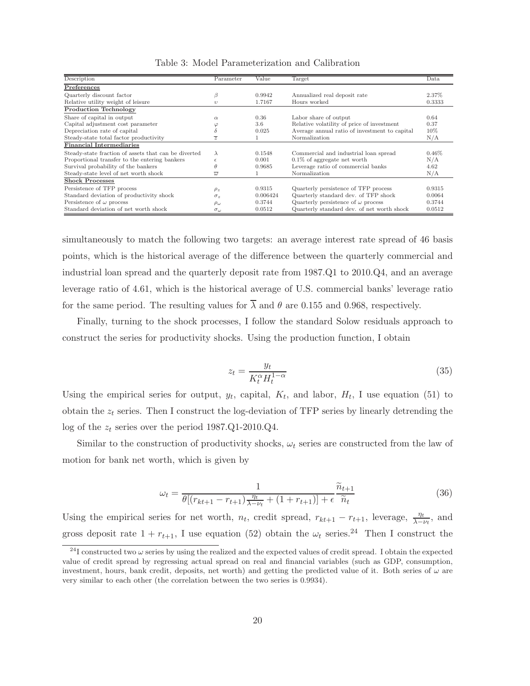| Description                                          | Parameter           | Value    | Target                                        | Data     |
|------------------------------------------------------|---------------------|----------|-----------------------------------------------|----------|
| Preferences                                          |                     |          |                                               |          |
| Quarterly discount factor                            | B                   | 0.9942   | Annualized real deposit rate                  | 2.37%    |
| Relative utility weight of leisure                   | $\eta$              | 1.7167   | Hours worked                                  | 0.3333   |
| <b>Production Technology</b>                         |                     |          |                                               |          |
| Share of capital in output                           | $\alpha$            | 0.36     | Labor share of output                         | 0.64     |
| Capital adjustment cost parameter                    |                     | 3.6      | Relative volatility of price of investment    | 0.37     |
| Depreciation rate of capital                         |                     | 0.025    | Average annual ratio of investment to capital | 10%      |
| Steady-state total factor productivity               | $\overline{z}$      |          | Normalization                                 | N/A      |
| Financial Intermediaries                             |                     |          |                                               |          |
| Steady-state fraction of assets that can be diverted | $\lambda$           | 0.1548   | Commercial and industrial loan spread         | $0.46\%$ |
| Proportional transfer to the entering bankers        | F                   | 0.001    | $0.1\%$ of aggregate net worth                | N/A      |
| Survival probability of the bankers                  |                     | 0.9685   | Leverage ratio of commercial banks            | 4.62     |
| Steady-state level of net worth shock                | $\overline{\omega}$ |          | Normalization                                 | N/A      |
| <b>Shock Processes</b>                               |                     |          |                                               |          |
| Persistence of TFP process                           | $\rho_z$            | 0.9315   | Quarterly persistence of TFP process          | 0.9315   |
| Standard deviation of productivity shock             | $\sigma_z$          | 0.006424 | Quarterly standard dev. of TFP shock          | 0.0064   |
| Persistence of $\omega$ process                      | $\rho_\omega$       | 0.3744   | Quarterly persistence of $\omega$ process     | 0.3744   |
| Standard deviation of net worth shock                | $\sigma_{\omega}$   | 0.0512   | Quarterly standard dev. of net worth shock    | 0.0512   |

Table 3: Model Parameterization and Calibration

simultaneously to match the following two targets: an average interest rate spread of 46 basis points, which is the historical average of the difference between the quarterly commercial and industrial loan spread and the quarterly deposit rate from 1987.Q1 to 2010.Q4, and an average leverage ratio of 4.61, which is the historical average of U.S. commercial banks' leverage ratio for the same period. The resulting values for  $\overline{\lambda}$  and  $\theta$  are 0.155 and 0.968, respectively.

Finally, turning to the shock processes, I follow the standard Solow residuals approach to construct the series for productivity shocks. Using the production function, I obtain

$$
z_t = \frac{y_t}{K_t^{\alpha} H_t^{1-\alpha}}\tag{35}
$$

Using the empirical series for output,  $y_t$ , capital,  $K_t$ , and labor,  $H_t$ , I use equation (51) to obtain the  $z_t$  series. Then I construct the log-deviation of TFP series by linearly detrending the log of the  $z_t$  series over the period 1987.Q1-2010.Q4.

Similar to the construction of productivity shocks,  $\omega_t$  series are constructed from the law of motion for bank net worth, which is given by

$$
\omega_t = \frac{1}{\theta[(r_{kt+1} - r_{t+1})\frac{\eta_t}{\lambda - \nu_t} + (1 + r_{t+1})] + \epsilon} \frac{\tilde{n}_{t+1}}{\tilde{n}_t}
$$
(36)

Using the empirical series for net worth,  $n_t$ , credit spread,  $r_{kt+1} - r_{t+1}$ , leverage,  $\frac{\eta_t}{\lambda - \nu_t}$ , and gross deposit rate  $1 + r_{t+1}$ , I use equation (52) obtain the  $\omega_t$  series.<sup>24</sup> Then I construct the

<sup>&</sup>lt;sup>24</sup>I constructed two  $\omega$  series by using the realized and the expected values of credit spread. I obtain the expected value of credit spread by regressing actual spread on real and financial variables (such as GDP, consumption, investment, hours, bank credit, deposits, net worth) and getting the predicted value of it. Both series of  $\omega$  are very similar to each other (the correlation between the two series is 0.9934).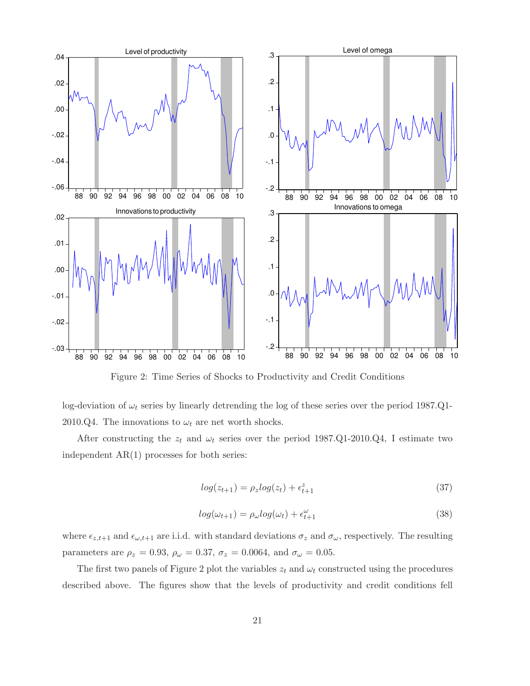

Figure 2: Time Series of Shocks to Productivity and Credit Conditions

log-deviation of  $\omega_t$  series by linearly detrending the log of these series over the period 1987.Q1-2010.Q4. The innovations to  $\omega_t$  are net worth shocks.

After constructing the  $z_t$  and  $\omega_t$  series over the period 1987.Q1-2010.Q4, I estimate two independent AR(1) processes for both series:

$$
log(z_{t+1}) = \rho_z log(z_t) + \epsilon_{t+1}^z
$$
\n(37)

$$
log(\omega_{t+1}) = \rho_{\omega} log(\omega_t) + \epsilon_{t+1}^{\omega}
$$
\n(38)

where  $\epsilon_{z,t+1}$  and  $\epsilon_{\omega,t+1}$  are i.i.d. with standard deviations  $\sigma_z$  and  $\sigma_{\omega}$ , respectively. The resulting parameters are  $\rho_z = 0.93$ ,  $\rho_\omega = 0.37$ ,  $\sigma_z = 0.0064$ , and  $\sigma_\omega = 0.05$ .

The first two panels of Figure 2 plot the variables  $z_t$  and  $\omega_t$  constructed using the procedures described above. The figures show that the levels of productivity and credit conditions fell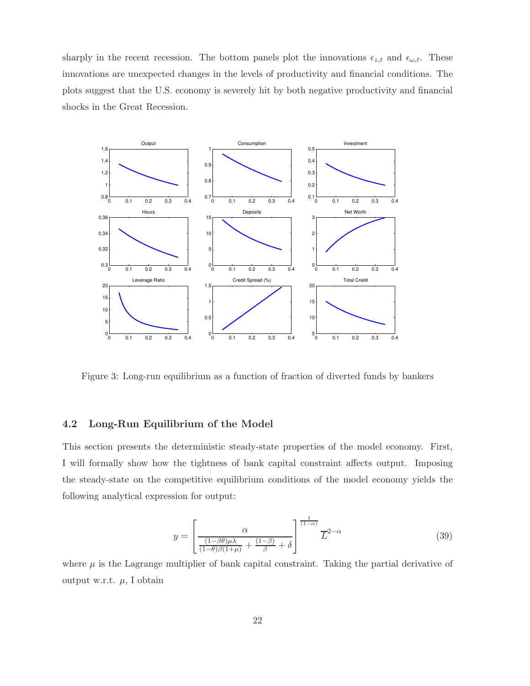sharply in the recent recession. The bottom panels plot the innovations  $\epsilon_{z,t}$  and  $\epsilon_{\omega,t}$ . These innovations are unexpected changes in the levels of productivity and financial conditions. The plots suggest that the U.S. economy is severely hit by both negative productivity and financial shocks in the Great Recession.



Figure 3: Long-run equilibrium as a function of fraction of diverted funds by bankers

#### 4.2 Long-Run Equilibrium of the Model

This section presents the deterministic steady-state properties of the model economy. First, I will formally show how the tightness of bank capital constraint affects output. Imposing the steady-state on the competitive equilibrium conditions of the model economy yields the following analytical expression for output:

$$
y = \left[\frac{\alpha}{\frac{(1-\beta\theta)\mu\lambda}{(1-\theta)\beta(1+\mu)} + \frac{(1-\beta)}{\beta} + \delta}\right]^{\frac{1}{(1-\alpha)}} \overline{L}^{2-\alpha}
$$
(39)

where  $\mu$  is the Lagrange multiplier of bank capital constraint. Taking the partial derivative of output w.r.t.  $\mu$ , I obtain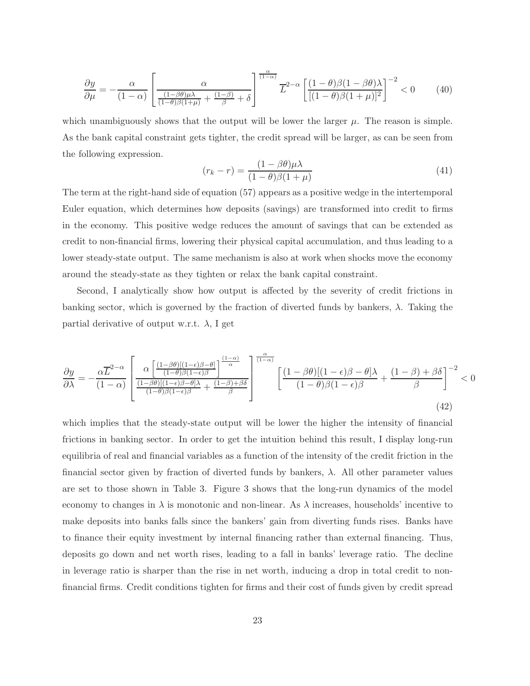$$
\frac{\partial y}{\partial \mu} = -\frac{\alpha}{(1-\alpha)} \left[ \frac{\alpha}{\frac{(1-\beta\theta)\mu\lambda}{(1-\theta)\beta(1+\mu)} + \frac{(1-\beta)}{\beta} + \delta} \right]^{\frac{\alpha}{(1-\alpha)}} \overline{L}^{2-\alpha} \left[ \frac{(1-\theta)\beta(1-\beta\theta)\lambda}{[(1-\theta)\beta(1+\mu)]^2} \right]^{-2} < 0 \tag{40}
$$

which unambiguously shows that the output will be lower the larger  $\mu$ . The reason is simple. As the bank capital constraint gets tighter, the credit spread will be larger, as can be seen from the following expression.

$$
(r_k - r) = \frac{(1 - \beta \theta)\mu\lambda}{(1 - \theta)\beta(1 + \mu)}
$$
\n(41)

The term at the right-hand side of equation (57) appears as a positive wedge in the intertemporal Euler equation, which determines how deposits (savings) are transformed into credit to firms in the economy. This positive wedge reduces the amount of savings that can be extended as credit to non-financial firms, lowering their physical capital accumulation, and thus leading to a lower steady-state output. The same mechanism is also at work when shocks move the economy around the steady-state as they tighten or relax the bank capital constraint.

Second, I analytically show how output is affected by the severity of credit frictions in banking sector, which is governed by the fraction of diverted funds by bankers,  $\lambda$ . Taking the partial derivative of output w.r.t.  $\lambda$ , I get

$$
\frac{\partial y}{\partial \lambda} = -\frac{\alpha \overline{L}^{2-\alpha}}{(1-\alpha)} \left[ \frac{\alpha \left[ \frac{(1-\beta\theta)[(1-\epsilon)\beta-\theta]}{(1-\theta)\beta(1-\epsilon)\beta} \right]^{\frac{(1-\alpha)}{\alpha}}}{\frac{(1-\beta\theta)[(1-\epsilon)\beta-\theta]\lambda}{(1-\theta)\beta(1-\epsilon)\beta} + \frac{(1-\beta)+\beta\delta}{\beta}} \right]^{-\frac{\alpha}{(1-\alpha)}} \left[ \frac{(1-\beta\theta)[(1-\epsilon)\beta-\theta]\lambda}{(1-\theta)\beta(1-\epsilon)\beta} + \frac{(1-\beta)+\beta\delta}{\beta} \right]^{-2} < 0
$$
\n(42)

which implies that the steady-state output will be lower the higher the intensity of financial frictions in banking sector. In order to get the intuition behind this result, I display long-run equilibria of real and financial variables as a function of the intensity of the credit friction in the financial sector given by fraction of diverted funds by bankers,  $\lambda$ . All other parameter values are set to those shown in Table 3. Figure 3 shows that the long-run dynamics of the model economy to changes in  $\lambda$  is monotonic and non-linear. As  $\lambda$  increases, households' incentive to make deposits into banks falls since the bankers' gain from diverting funds rises. Banks have to finance their equity investment by internal financing rather than external financing. Thus, deposits go down and net worth rises, leading to a fall in banks' leverage ratio. The decline in leverage ratio is sharper than the rise in net worth, inducing a drop in total credit to nonfinancial firms. Credit conditions tighten for firms and their cost of funds given by credit spread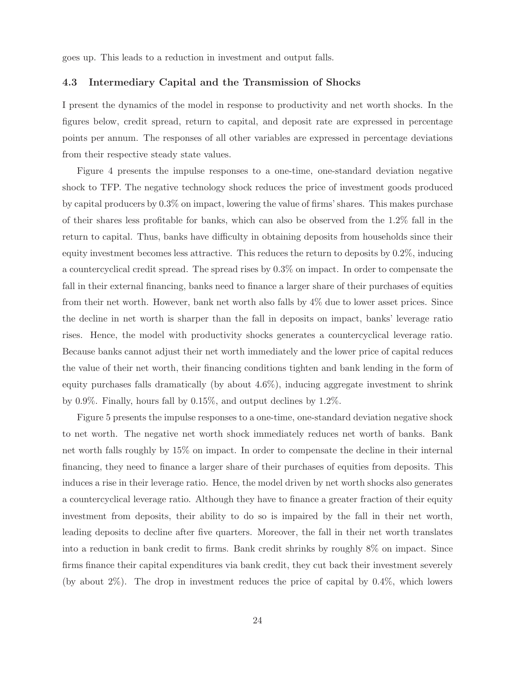goes up. This leads to a reduction in investment and output falls.

#### 4.3 Intermediary Capital and the Transmission of Shocks

I present the dynamics of the model in response to productivity and net worth shocks. In the figures below, credit spread, return to capital, and deposit rate are expressed in percentage points per annum. The responses of all other variables are expressed in percentage deviations from their respective steady state values.

Figure 4 presents the impulse responses to a one-time, one-standard deviation negative shock to TFP. The negative technology shock reduces the price of investment goods produced by capital producers by 0.3% on impact, lowering the value of firms' shares. This makes purchase of their shares less profitable for banks, which can also be observed from the 1.2% fall in the return to capital. Thus, banks have difficulty in obtaining deposits from households since their equity investment becomes less attractive. This reduces the return to deposits by 0.2%, inducing a countercyclical credit spread. The spread rises by 0.3% on impact. In order to compensate the fall in their external financing, banks need to finance a larger share of their purchases of equities from their net worth. However, bank net worth also falls by 4% due to lower asset prices. Since the decline in net worth is sharper than the fall in deposits on impact, banks' leverage ratio rises. Hence, the model with productivity shocks generates a countercyclical leverage ratio. Because banks cannot adjust their net worth immediately and the lower price of capital reduces the value of their net worth, their financing conditions tighten and bank lending in the form of equity purchases falls dramatically (by about 4.6%), inducing aggregate investment to shrink by 0.9%. Finally, hours fall by 0.15%, and output declines by 1.2%.

Figure 5 presents the impulse responses to a one-time, one-standard deviation negative shock to net worth. The negative net worth shock immediately reduces net worth of banks. Bank net worth falls roughly by 15% on impact. In order to compensate the decline in their internal financing, they need to finance a larger share of their purchases of equities from deposits. This induces a rise in their leverage ratio. Hence, the model driven by net worth shocks also generates a countercyclical leverage ratio. Although they have to finance a greater fraction of their equity investment from deposits, their ability to do so is impaired by the fall in their net worth, leading deposits to decline after five quarters. Moreover, the fall in their net worth translates into a reduction in bank credit to firms. Bank credit shrinks by roughly 8% on impact. Since firms finance their capital expenditures via bank credit, they cut back their investment severely (by about 2%). The drop in investment reduces the price of capital by 0.4%, which lowers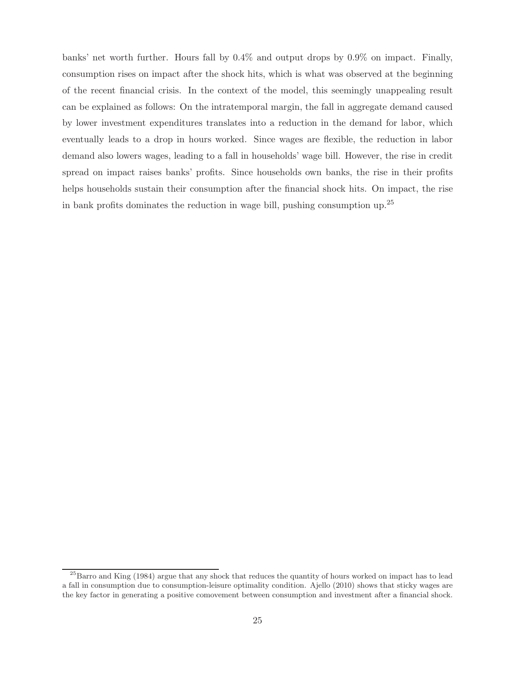banks' net worth further. Hours fall by 0.4% and output drops by 0.9% on impact. Finally, consumption rises on impact after the shock hits, which is what was observed at the beginning of the recent financial crisis. In the context of the model, this seemingly unappealing result can be explained as follows: On the intratemporal margin, the fall in aggregate demand caused by lower investment expenditures translates into a reduction in the demand for labor, which eventually leads to a drop in hours worked. Since wages are flexible, the reduction in labor demand also lowers wages, leading to a fall in households' wage bill. However, the rise in credit spread on impact raises banks' profits. Since households own banks, the rise in their profits helps households sustain their consumption after the financial shock hits. On impact, the rise in bank profits dominates the reduction in wage bill, pushing consumption up.<sup>25</sup>

<sup>&</sup>lt;sup>25</sup>Barro and King (1984) argue that any shock that reduces the quantity of hours worked on impact has to lead a fall in consumption due to consumption-leisure optimality condition. Ajello (2010) shows that sticky wages are the key factor in generating a positive comovement between consumption and investment after a financial shock.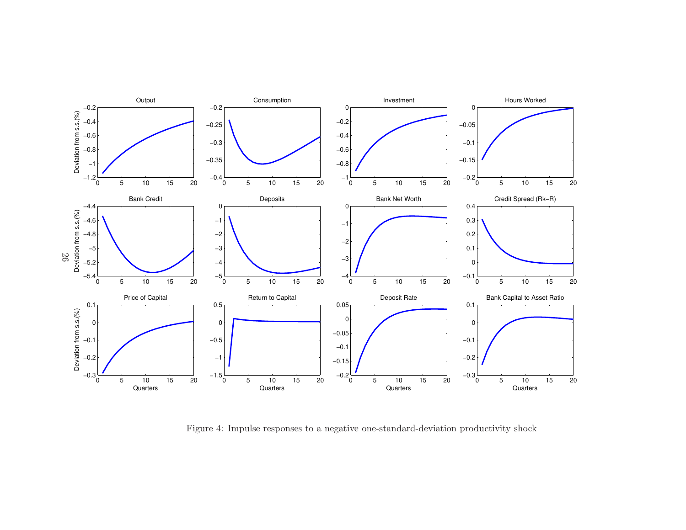

Figure 4: Impulse responses to a negative one-standard-deviation productivity shock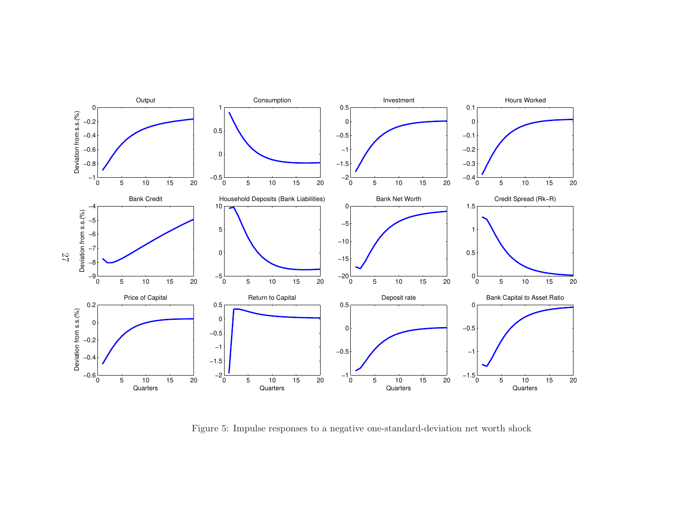

Figure 5: Impulse responses to a negative one-standard-deviation net worth shock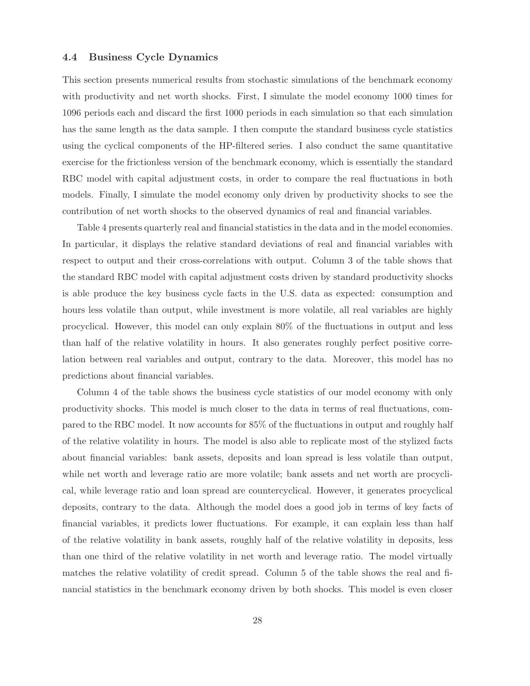#### 4.4 Business Cycle Dynamics

This section presents numerical results from stochastic simulations of the benchmark economy with productivity and net worth shocks. First, I simulate the model economy 1000 times for 1096 periods each and discard the first 1000 periods in each simulation so that each simulation has the same length as the data sample. I then compute the standard business cycle statistics using the cyclical components of the HP-filtered series. I also conduct the same quantitative exercise for the frictionless version of the benchmark economy, which is essentially the standard RBC model with capital adjustment costs, in order to compare the real fluctuations in both models. Finally, I simulate the model economy only driven by productivity shocks to see the contribution of net worth shocks to the observed dynamics of real and financial variables.

Table 4 presents quarterly real and financial statistics in the data and in the model economies. In particular, it displays the relative standard deviations of real and financial variables with respect to output and their cross-correlations with output. Column 3 of the table shows that the standard RBC model with capital adjustment costs driven by standard productivity shocks is able produce the key business cycle facts in the U.S. data as expected: consumption and hours less volatile than output, while investment is more volatile, all real variables are highly procyclical. However, this model can only explain 80% of the fluctuations in output and less than half of the relative volatility in hours. It also generates roughly perfect positive correlation between real variables and output, contrary to the data. Moreover, this model has no predictions about financial variables.

Column 4 of the table shows the business cycle statistics of our model economy with only productivity shocks. This model is much closer to the data in terms of real fluctuations, compared to the RBC model. It now accounts for 85% of the fluctuations in output and roughly half of the relative volatility in hours. The model is also able to replicate most of the stylized facts about financial variables: bank assets, deposits and loan spread is less volatile than output, while net worth and leverage ratio are more volatile; bank assets and net worth are procyclical, while leverage ratio and loan spread are countercyclical. However, it generates procyclical deposits, contrary to the data. Although the model does a good job in terms of key facts of financial variables, it predicts lower fluctuations. For example, it can explain less than half of the relative volatility in bank assets, roughly half of the relative volatility in deposits, less than one third of the relative volatility in net worth and leverage ratio. The model virtually matches the relative volatility of credit spread. Column 5 of the table shows the real and financial statistics in the benchmark economy driven by both shocks. This model is even closer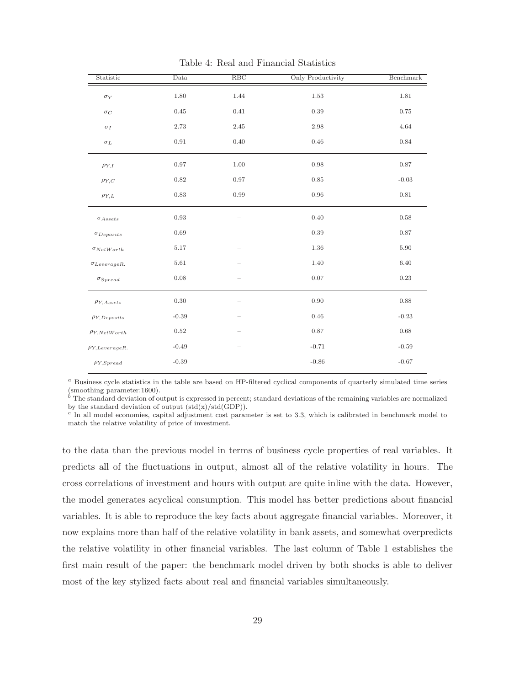| Statistic              | Data       | RBC      | <b>Only Productivity</b> | Benchmark |
|------------------------|------------|----------|--------------------------|-----------|
| $\sigma_Y$             | 1.80       | 1.44     | 1.53                     | 1.81      |
| $\sigma_C$             | 0.45       | 0.41     | 0.39                     | 0.75      |
| $\sigma_I$             | $2.73\,$   | 2.45     | 2.98                     | 4.64      |
| $\sigma_L$             | 0.91       | 0.40     | 0.46                     | 0.84      |
| $\rho_{Y,I}$           | 0.97       | $1.00\,$ | 0.98                     | 0.87      |
| $\rho_{Y,\,C}$         | 0.82       | 0.97     | 0.85                     | $-0.03$   |
| $\rho_{Y,L}$           | 0.83       | 0.99     | 0.96                     | 0.81      |
| $\sigma_{Assets}$      | 0.93       |          | 0.40                     | $0.58\,$  |
| $\sigma_{Deposits}$    | 0.69       |          | 0.39                     | 0.87      |
| $\sigma_{NetWorth}$    | $5.17\,$   |          | 1.36                     | $5.90\,$  |
| $\sigma_{Leverage R.}$ | $5.61\,$   |          | 1.40                     | 6.40      |
| $\sigma_{S \: pred}$   | 0.08       |          | 0.07                     | 0.23      |
| $\rho_{Y,Assets}$      | $0.30\,$   |          | 0.90                     | 0.88      |
| $\rho_{Y,Deposits}$    | $-0.39$    |          | 0.46                     | $-0.23$   |
| $\rho_{Y,NetWorld}$    | $\rm 0.52$ |          | 0.87                     | 0.68      |
| $\rho_{Y,LeverageR.}$  | $-0.49$    |          | $-0.71$                  | $-0.59$   |
| $\rho_{Y,Spread}$      | $-0.39$    |          | $-0.86$                  | $-0.67$   |

Table 4: Real and Financial Statistics

<sup>a</sup> Business cycle statistics in the table are based on HP-filtered cyclical components of quarterly simulated time series (smoothing parameter:1600).

 $\bar{b}$ . The standard deviation of output is expressed in percent; standard deviations of the remaining variables are normalized by the standard deviation of output  $(std(x)/std(GDP))$ .

c In all model economies, capital adjustment cost parameter is set to 3.3, which is calibrated in benchmark model to match the relative volatility of price of investment.

to the data than the previous model in terms of business cycle properties of real variables. It predicts all of the fluctuations in output, almost all of the relative volatility in hours. The cross correlations of investment and hours with output are quite inline with the data. However, the model generates acyclical consumption. This model has better predictions about financial variables. It is able to reproduce the key facts about aggregate financial variables. Moreover, it now explains more than half of the relative volatility in bank assets, and somewhat overpredicts the relative volatility in other financial variables. The last column of Table 1 establishes the first main result of the paper: the benchmark model driven by both shocks is able to deliver most of the key stylized facts about real and financial variables simultaneously.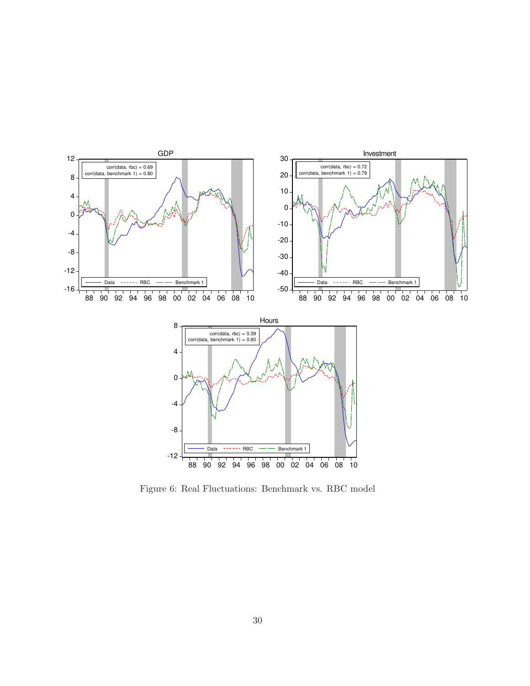

Figure 6: Real Fluctuations: Benchmark vs. RBC model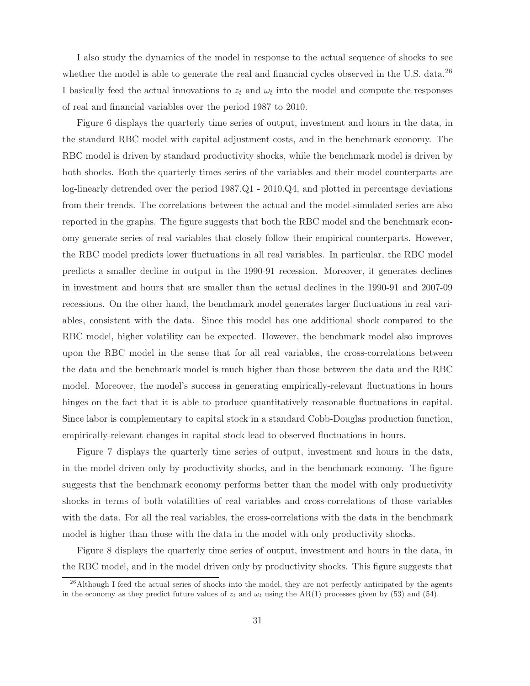I also study the dynamics of the model in response to the actual sequence of shocks to see whether the model is able to generate the real and financial cycles observed in the U.S. data. $^{26}$ I basically feed the actual innovations to  $z_t$  and  $\omega_t$  into the model and compute the responses of real and financial variables over the period 1987 to 2010.

Figure 6 displays the quarterly time series of output, investment and hours in the data, in the standard RBC model with capital adjustment costs, and in the benchmark economy. The RBC model is driven by standard productivity shocks, while the benchmark model is driven by both shocks. Both the quarterly times series of the variables and their model counterparts are log-linearly detrended over the period 1987.Q1 - 2010.Q4, and plotted in percentage deviations from their trends. The correlations between the actual and the model-simulated series are also reported in the graphs. The figure suggests that both the RBC model and the benchmark economy generate series of real variables that closely follow their empirical counterparts. However, the RBC model predicts lower fluctuations in all real variables. In particular, the RBC model predicts a smaller decline in output in the 1990-91 recession. Moreover, it generates declines in investment and hours that are smaller than the actual declines in the 1990-91 and 2007-09 recessions. On the other hand, the benchmark model generates larger fluctuations in real variables, consistent with the data. Since this model has one additional shock compared to the RBC model, higher volatility can be expected. However, the benchmark model also improves upon the RBC model in the sense that for all real variables, the cross-correlations between the data and the benchmark model is much higher than those between the data and the RBC model. Moreover, the model's success in generating empirically-relevant fluctuations in hours hinges on the fact that it is able to produce quantitatively reasonable fluctuations in capital. Since labor is complementary to capital stock in a standard Cobb-Douglas production function, empirically-relevant changes in capital stock lead to observed fluctuations in hours.

Figure 7 displays the quarterly time series of output, investment and hours in the data, in the model driven only by productivity shocks, and in the benchmark economy. The figure suggests that the benchmark economy performs better than the model with only productivity shocks in terms of both volatilities of real variables and cross-correlations of those variables with the data. For all the real variables, the cross-correlations with the data in the benchmark model is higher than those with the data in the model with only productivity shocks.

Figure 8 displays the quarterly time series of output, investment and hours in the data, in the RBC model, and in the model driven only by productivity shocks. This figure suggests that

<sup>&</sup>lt;sup>26</sup>Although I feed the actual series of shocks into the model, they are not perfectly anticipated by the agents in the economy as they predict future values of  $z_t$  and  $\omega_t$  using the AR(1) processes given by (53) and (54).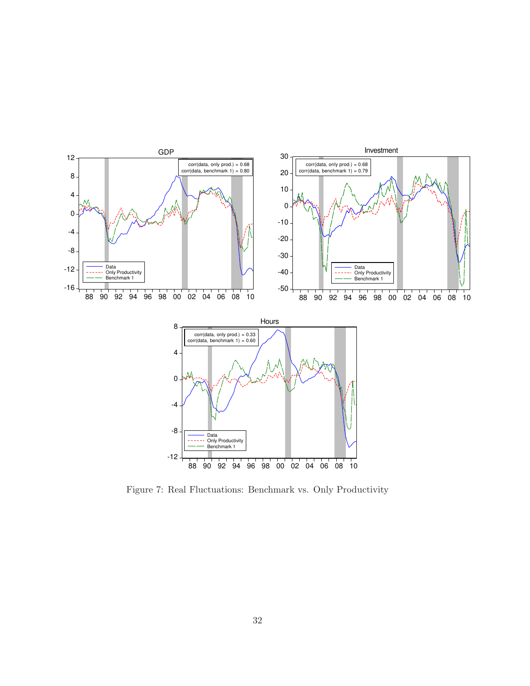

Figure 7: Real Fluctuations: Benchmark vs. Only Productivity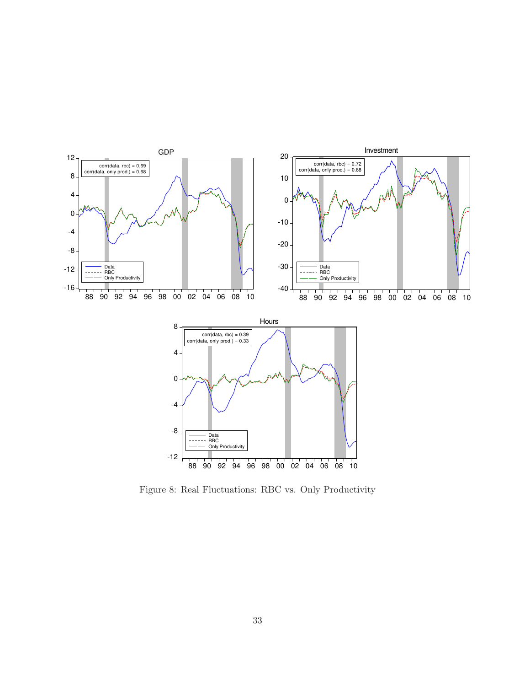

Figure 8: Real Fluctuations: RBC vs. Only Productivity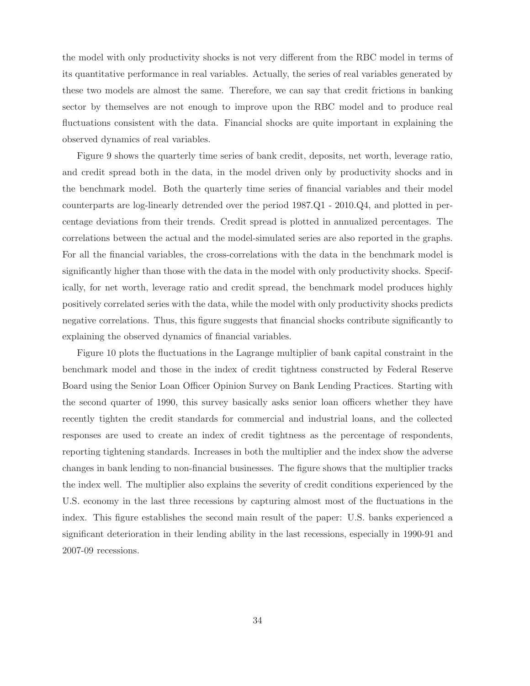the model with only productivity shocks is not very different from the RBC model in terms of its quantitative performance in real variables. Actually, the series of real variables generated by these two models are almost the same. Therefore, we can say that credit frictions in banking sector by themselves are not enough to improve upon the RBC model and to produce real fluctuations consistent with the data. Financial shocks are quite important in explaining the observed dynamics of real variables.

Figure 9 shows the quarterly time series of bank credit, deposits, net worth, leverage ratio, and credit spread both in the data, in the model driven only by productivity shocks and in the benchmark model. Both the quarterly time series of financial variables and their model counterparts are log-linearly detrended over the period 1987.Q1 - 2010.Q4, and plotted in percentage deviations from their trends. Credit spread is plotted in annualized percentages. The correlations between the actual and the model-simulated series are also reported in the graphs. For all the financial variables, the cross-correlations with the data in the benchmark model is significantly higher than those with the data in the model with only productivity shocks. Specifically, for net worth, leverage ratio and credit spread, the benchmark model produces highly positively correlated series with the data, while the model with only productivity shocks predicts negative correlations. Thus, this figure suggests that financial shocks contribute significantly to explaining the observed dynamics of financial variables.

Figure 10 plots the fluctuations in the Lagrange multiplier of bank capital constraint in the benchmark model and those in the index of credit tightness constructed by Federal Reserve Board using the Senior Loan Officer Opinion Survey on Bank Lending Practices. Starting with the second quarter of 1990, this survey basically asks senior loan officers whether they have recently tighten the credit standards for commercial and industrial loans, and the collected responses are used to create an index of credit tightness as the percentage of respondents, reporting tightening standards. Increases in both the multiplier and the index show the adverse changes in bank lending to non-financial businesses. The figure shows that the multiplier tracks the index well. The multiplier also explains the severity of credit conditions experienced by the U.S. economy in the last three recessions by capturing almost most of the fluctuations in the index. This figure establishes the second main result of the paper: U.S. banks experienced a significant deterioration in their lending ability in the last recessions, especially in 1990-91 and 2007-09 recessions.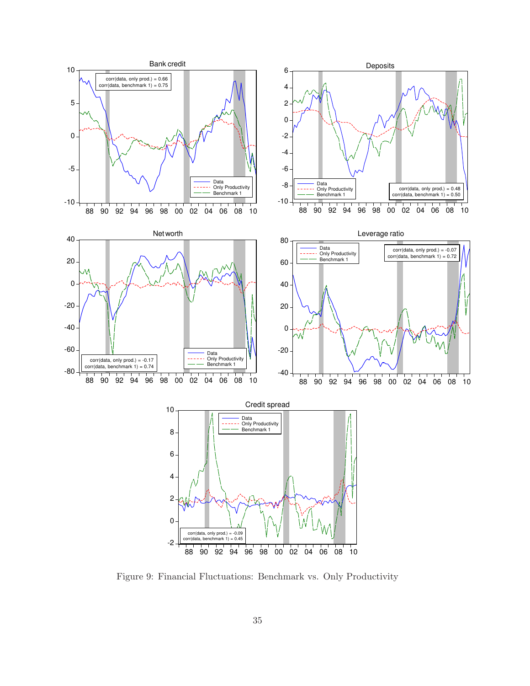

Figure 9: Financial Fluctuations: Benchmark vs. Only Productivity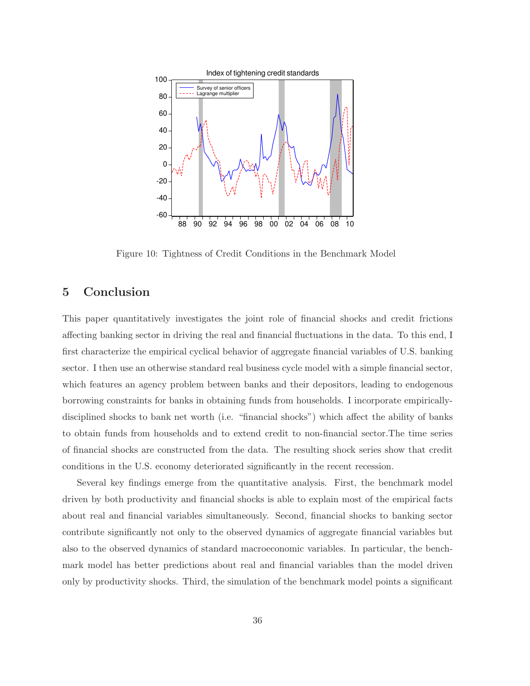

Figure 10: Tightness of Credit Conditions in the Benchmark Model

## 5 Conclusion

This paper quantitatively investigates the joint role of financial shocks and credit frictions affecting banking sector in driving the real and financial fluctuations in the data. To this end, I first characterize the empirical cyclical behavior of aggregate financial variables of U.S. banking sector. I then use an otherwise standard real business cycle model with a simple financial sector, which features an agency problem between banks and their depositors, leading to endogenous borrowing constraints for banks in obtaining funds from households. I incorporate empiricallydisciplined shocks to bank net worth (i.e. "financial shocks") which affect the ability of banks to obtain funds from households and to extend credit to non-financial sector.The time series of financial shocks are constructed from the data. The resulting shock series show that credit conditions in the U.S. economy deteriorated significantly in the recent recession.

Several key findings emerge from the quantitative analysis. First, the benchmark model driven by both productivity and financial shocks is able to explain most of the empirical facts about real and financial variables simultaneously. Second, financial shocks to banking sector contribute significantly not only to the observed dynamics of aggregate financial variables but also to the observed dynamics of standard macroeconomic variables. In particular, the benchmark model has better predictions about real and financial variables than the model driven only by productivity shocks. Third, the simulation of the benchmark model points a significant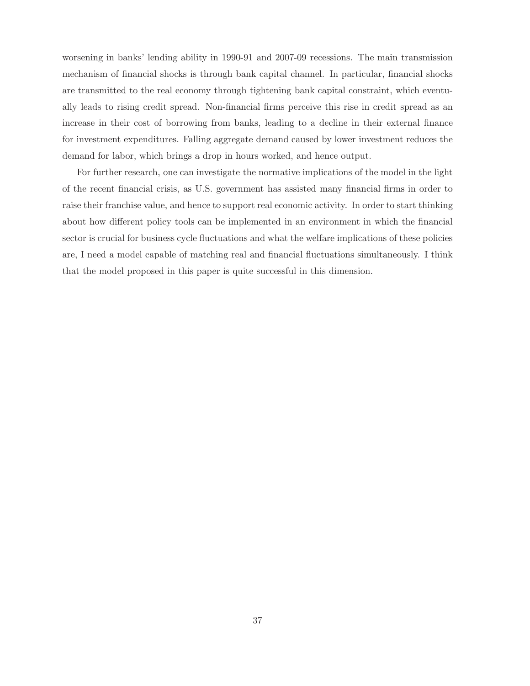worsening in banks' lending ability in 1990-91 and 2007-09 recessions. The main transmission mechanism of financial shocks is through bank capital channel. In particular, financial shocks are transmitted to the real economy through tightening bank capital constraint, which eventually leads to rising credit spread. Non-financial firms perceive this rise in credit spread as an increase in their cost of borrowing from banks, leading to a decline in their external finance for investment expenditures. Falling aggregate demand caused by lower investment reduces the demand for labor, which brings a drop in hours worked, and hence output.

For further research, one can investigate the normative implications of the model in the light of the recent financial crisis, as U.S. government has assisted many financial firms in order to raise their franchise value, and hence to support real economic activity. In order to start thinking about how different policy tools can be implemented in an environment in which the financial sector is crucial for business cycle fluctuations and what the welfare implications of these policies are, I need a model capable of matching real and financial fluctuations simultaneously. I think that the model proposed in this paper is quite successful in this dimension.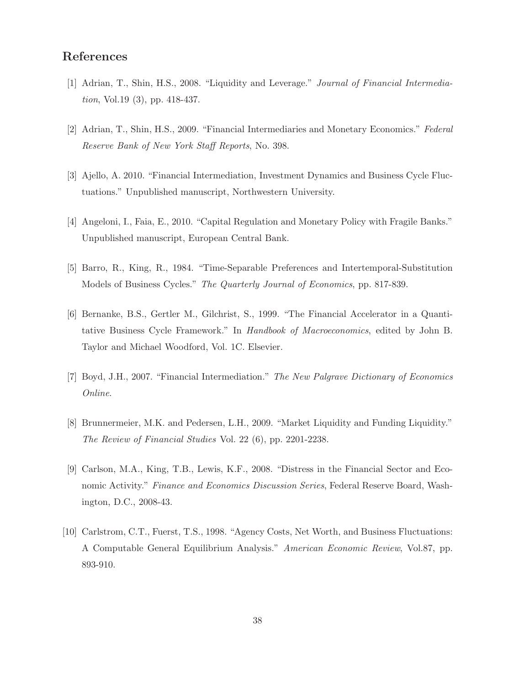## References

- [1] Adrian, T., Shin, H.S., 2008. "Liquidity and Leverage." Journal of Financial Intermediation, Vol.19 (3), pp. 418-437.
- [2] Adrian, T., Shin, H.S., 2009. "Financial Intermediaries and Monetary Economics." Federal Reserve Bank of New York Staff Reports, No. 398.
- [3] Ajello, A. 2010. "Financial Intermediation, Investment Dynamics and Business Cycle Fluctuations." Unpublished manuscript, Northwestern University.
- [4] Angeloni, I., Faia, E., 2010. "Capital Regulation and Monetary Policy with Fragile Banks." Unpublished manuscript, European Central Bank.
- [5] Barro, R., King, R., 1984. "Time-Separable Preferences and Intertemporal-Substitution Models of Business Cycles." The Quarterly Journal of Economics, pp. 817-839.
- [6] Bernanke, B.S., Gertler M., Gilchrist, S., 1999. "The Financial Accelerator in a Quantitative Business Cycle Framework." In Handbook of Macroeconomics, edited by John B. Taylor and Michael Woodford, Vol. 1C. Elsevier.
- [7] Boyd, J.H., 2007. "Financial Intermediation." The New Palgrave Dictionary of Economics Online.
- [8] Brunnermeier, M.K. and Pedersen, L.H., 2009. "Market Liquidity and Funding Liquidity." The Review of Financial Studies Vol. 22 (6), pp. 2201-2238.
- [9] Carlson, M.A., King, T.B., Lewis, K.F., 2008. "Distress in the Financial Sector and Economic Activity." Finance and Economics Discussion Series, Federal Reserve Board, Washington, D.C., 2008-43.
- [10] Carlstrom, C.T., Fuerst, T.S., 1998. "Agency Costs, Net Worth, and Business Fluctuations: A Computable General Equilibrium Analysis." American Economic Review, Vol.87, pp. 893-910.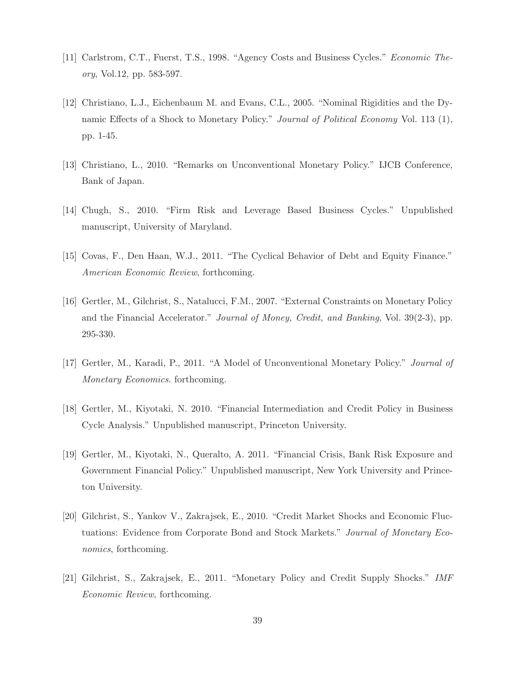- [11] Carlstrom, C.T., Fuerst, T.S., 1998. "Agency Costs and Business Cycles." Economic Theory, Vol.12, pp. 583-597.
- [12] Christiano, L.J., Eichenbaum M. and Evans, C.L., 2005. "Nominal Rigidities and the Dynamic Effects of a Shock to Monetary Policy." *Journal of Political Economy* Vol. 113 (1), pp. 1-45.
- [13] Christiano, L., 2010. "Remarks on Unconventional Monetary Policy." IJCB Conference, Bank of Japan.
- [14] Chugh, S., 2010. "Firm Risk and Leverage Based Business Cycles." Unpublished manuscript, University of Maryland.
- [15] Covas, F., Den Haan, W.J., 2011. "The Cyclical Behavior of Debt and Equity Finance." American Economic Review, forthcoming.
- [16] Gertler, M., Gilchrist, S., Natalucci, F.M., 2007. "External Constraints on Monetary Policy and the Financial Accelerator." Journal of Money, Credit, and Banking, Vol. 39(2-3), pp. 295-330.
- [17] Gertler, M., Karadi, P., 2011. "A Model of Unconventional Monetary Policy." Journal of Monetary Economics. forthcoming.
- [18] Gertler, M., Kiyotaki, N. 2010. "Financial Intermediation and Credit Policy in Business Cycle Analysis." Unpublished manuscript, Princeton University.
- [19] Gertler, M., Kiyotaki, N., Queralto, A. 2011. "Financial Crisis, Bank Risk Exposure and Government Financial Policy." Unpublished manuscript, New York University and Princeton University.
- [20] Gilchrist, S., Yankov V., Zakrajsek, E., 2010. "Credit Market Shocks and Economic Fluctuations: Evidence from Corporate Bond and Stock Markets." Journal of Monetary Economics, forthcoming.
- [21] Gilchrist, S., Zakrajsek, E., 2011. "Monetary Policy and Credit Supply Shocks." IMF Economic Review, forthcoming.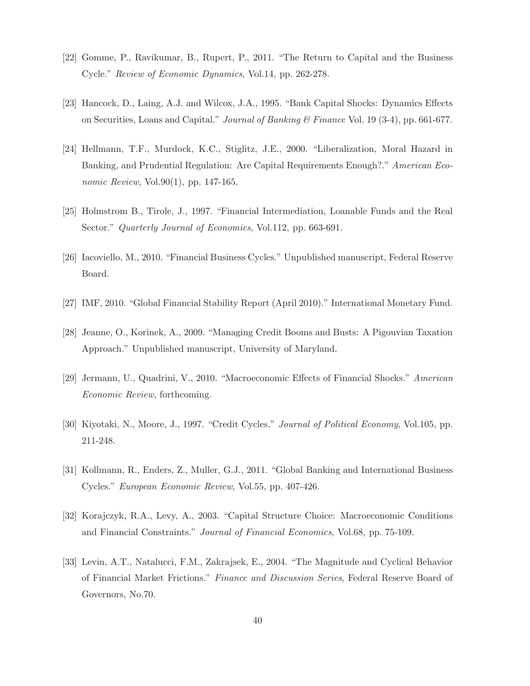- [22] Gomme, P., Ravikumar, B., Rupert, P., 2011. "The Return to Capital and the Business Cycle." Review of Economic Dynamics, Vol.14, pp. 262-278.
- [23] Hancock, D., Laing, A.J. and Wilcox, J.A., 1995. "Bank Capital Shocks: Dynamics Effects on Securities, Loans and Capital." Journal of Banking & Finance Vol. 19 (3-4), pp. 661-677.
- [24] Hellmann, T.F., Murdock, K.C., Stiglitz, J.E., 2000. "Liberalization, Moral Hazard in Banking, and Prudential Regulation: Are Capital Requirements Enough?." American Economic Review, Vol.90(1), pp. 147-165.
- [25] Holmstrom B., Tirole, J., 1997. "Financial Intermediation, Loanable Funds and the Real Sector." Quarterly Journal of Economics, Vol.112, pp. 663-691.
- [26] Iacoviello, M., 2010. "Financial Business Cycles." Unpublished manuscript, Federal Reserve Board.
- [27] IMF, 2010. "Global Financial Stability Report (April 2010)." International Monetary Fund.
- [28] Jeanne, O., Korinek, A., 2009. "Managing Credit Booms and Busts: A Pigouvian Taxation Approach." Unpublished manuscript, University of Maryland.
- [29] Jermann, U., Quadrini, V., 2010. "Macroeconomic Effects of Financial Shocks." American Economic Review, forthcoming.
- [30] Kiyotaki, N., Moore, J., 1997. "Credit Cycles." Journal of Political Economy, Vol.105, pp. 211-248.
- [31] Kollmann, R., Enders, Z., Muller, G.J., 2011. "Global Banking and International Business Cycles." European Economic Review, Vol.55, pp. 407-426.
- [32] Korajczyk, R.A., Levy, A., 2003. "Capital Structure Choice: Macroeconomic Conditions and Financial Constraints." Journal of Financial Economics, Vol.68, pp. 75-109.
- [33] Levin, A.T., Natalucci, F.M., Zakrajsek, E., 2004. "The Magnitude and Cyclical Behavior of Financial Market Frictions." Finance and Discussion Series, Federal Reserve Board of Governors, No.70.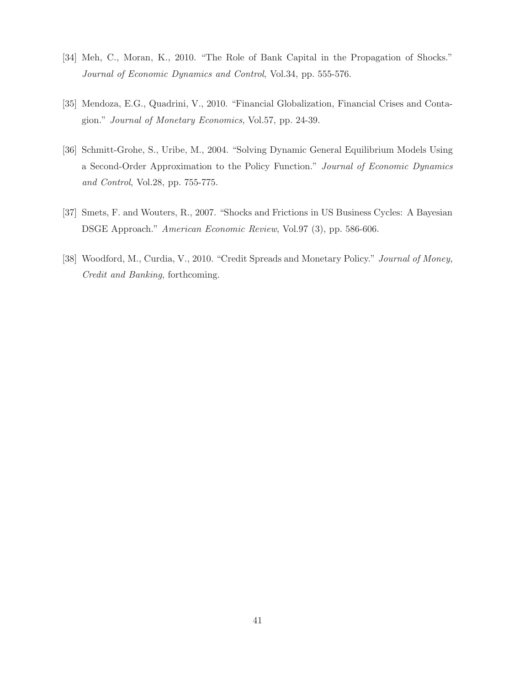- [34] Meh, C., Moran, K., 2010. "The Role of Bank Capital in the Propagation of Shocks." Journal of Economic Dynamics and Control, Vol.34, pp. 555-576.
- [35] Mendoza, E.G., Quadrini, V., 2010. "Financial Globalization, Financial Crises and Contagion." Journal of Monetary Economics, Vol.57, pp. 24-39.
- [36] Schmitt-Grohe, S., Uribe, M., 2004. "Solving Dynamic General Equilibrium Models Using a Second-Order Approximation to the Policy Function." Journal of Economic Dynamics and Control, Vol.28, pp. 755-775.
- [37] Smets, F. and Wouters, R., 2007. "Shocks and Frictions in US Business Cycles: A Bayesian DSGE Approach." American Economic Review, Vol.97 (3), pp. 586-606.
- [38] Woodford, M., Curdia, V., 2010. "Credit Spreads and Monetary Policy." Journal of Money, Credit and Banking, forthcoming.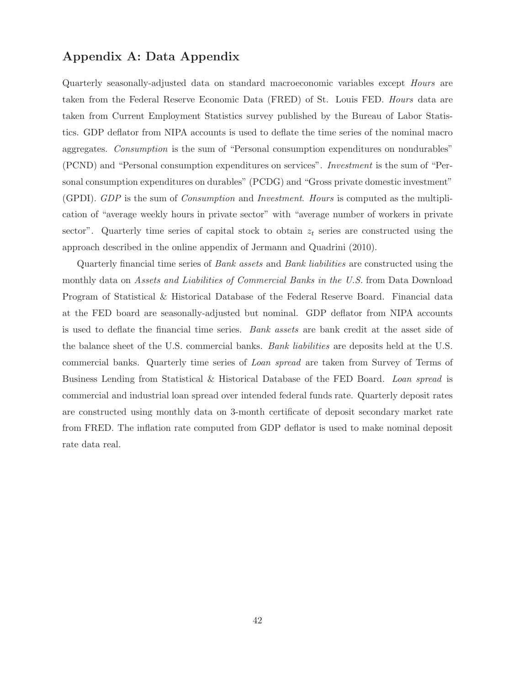## Appendix A: Data Appendix

Quarterly seasonally-adjusted data on standard macroeconomic variables except Hours are taken from the Federal Reserve Economic Data (FRED) of St. Louis FED. Hours data are taken from Current Employment Statistics survey published by the Bureau of Labor Statistics. GDP deflator from NIPA accounts is used to deflate the time series of the nominal macro aggregates. Consumption is the sum of "Personal consumption expenditures on nondurables" (PCND) and "Personal consumption expenditures on services". Investment is the sum of "Personal consumption expenditures on durables" (PCDG) and "Gross private domestic investment" (GPDI). GDP is the sum of Consumption and Investment. Hours is computed as the multiplication of "average weekly hours in private sector" with "average number of workers in private sector". Quarterly time series of capital stock to obtain  $z_t$  series are constructed using the approach described in the online appendix of Jermann and Quadrini (2010).

Quarterly financial time series of Bank assets and Bank liabilities are constructed using the monthly data on Assets and Liabilities of Commercial Banks in the U.S. from Data Download Program of Statistical & Historical Database of the Federal Reserve Board. Financial data at the FED board are seasonally-adjusted but nominal. GDP deflator from NIPA accounts is used to deflate the financial time series. Bank assets are bank credit at the asset side of the balance sheet of the U.S. commercial banks. Bank liabilities are deposits held at the U.S. commercial banks. Quarterly time series of Loan spread are taken from Survey of Terms of Business Lending from Statistical & Historical Database of the FED Board. Loan spread is commercial and industrial loan spread over intended federal funds rate. Quarterly deposit rates are constructed using monthly data on 3-month certificate of deposit secondary market rate from FRED. The inflation rate computed from GDP deflator is used to make nominal deposit rate data real.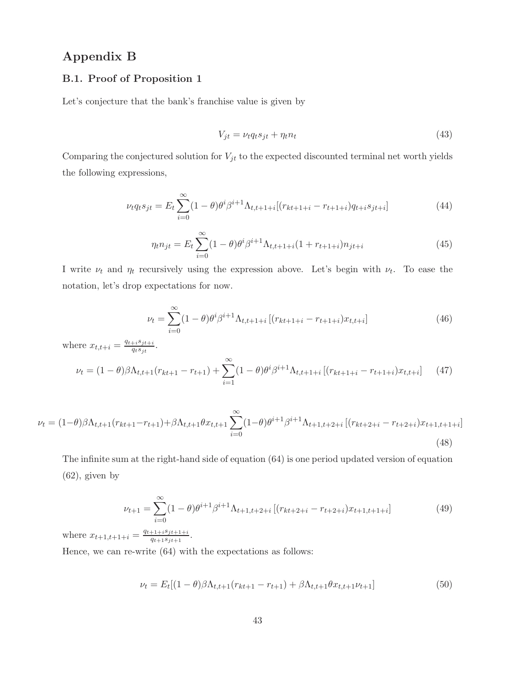## Appendix B

#### B.1. Proof of Proposition 1

Let's conjecture that the bank's franchise value is given by

$$
V_{jt} = \nu_t q_t s_{jt} + \eta_t n_t \tag{43}
$$

Comparing the conjectured solution for  $V_{jt}$  to the expected discounted terminal net worth yields the following expressions,

$$
\nu_t q_t s_{jt} = E_t \sum_{i=0}^{\infty} (1 - \theta) \theta^i \beta^{i+1} \Lambda_{t,t+1+i} [(r_{kt+1+i} - r_{t+1+i}) q_{t+i} s_{jt+i}] \tag{44}
$$

$$
\eta_t n_{jt} = E_t \sum_{i=0}^{\infty} (1 - \theta) \theta^i \beta^{i+1} \Lambda_{t, t+1+i} (1 + r_{t+1+i}) n_{jt+i}
$$
\n(45)

I write  $\nu_t$  and  $\eta_t$  recursively using the expression above. Let's begin with  $\nu_t$ . To ease the notation, let's drop expectations for now.

$$
\nu_t = \sum_{i=0}^{\infty} (1 - \theta) \theta^i \beta^{i+1} \Lambda_{t, t+1+i} \left[ (r_{kt+1+i} - r_{t+1+i}) x_{t, t+i} \right]
$$
(46)

where  $x_{t,t+i} = \frac{q_{t+i}s_{jt+i}}{q_{t}s_{it}}$  $\frac{+i s_j t+i}{q_t s_{jt}}.$ 

$$
\nu_t = (1 - \theta)\beta \Lambda_{t,t+1}(r_{kt+1} - r_{t+1}) + \sum_{i=1}^{\infty} (1 - \theta)\theta^i \beta^{i+1} \Lambda_{t,t+1+i} \left[ (r_{kt+1+i} - r_{t+1+i}) x_{t,t+i} \right] \tag{47}
$$

$$
\nu_{t} = (1-\theta)\beta\Lambda_{t,t+1}(r_{kt+1}-r_{t+1}) + \beta\Lambda_{t,t+1}\theta x_{t,t+1} \sum_{i=0}^{\infty} (1-\theta)\theta^{i+1}\beta^{i+1}\Lambda_{t+1,t+2+i} \left[ (r_{kt+2+i} - r_{t+2+i})x_{t+1,t+1+i} \right]
$$
\n(48)

The infinite sum at the right-hand side of equation (64) is one period updated version of equation (62), given by

$$
\nu_{t+1} = \sum_{i=0}^{\infty} (1 - \theta) \theta^{i+1} \beta^{i+1} \Lambda_{t+1, t+2+i} \left[ (r_{kt+2+i} - r_{t+2+i}) x_{t+1, t+1+i} \right] \tag{49}
$$

where  $x_{t+1,t+1+i} = \frac{q_{t+1+i} s_{jt+1+i}}{q_{t+1} s_{it+1}}$  $\frac{+1+i^{\frac{s}{t+1+i}}}{q_{t+1}s_{jt+1}}$ .

Hence, we can re-write (64) with the expectations as follows:

$$
\nu_t = E_t[(1-\theta)\beta\Lambda_{t,t+1}(r_{kt+1} - r_{t+1}) + \beta\Lambda_{t,t+1}\theta x_{t,t+1}\nu_{t+1}] \tag{50}
$$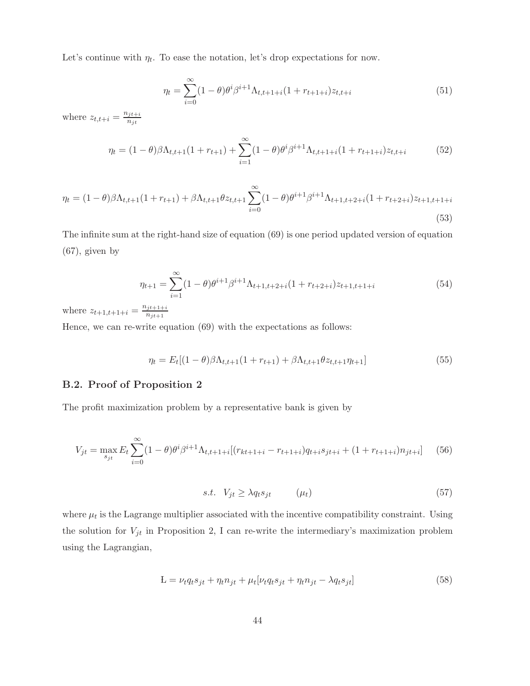Let's continue with  $\eta_t$ . To ease the notation, let's drop expectations for now.

$$
\eta_t = \sum_{i=0}^{\infty} (1 - \theta) \theta^i \beta^{i+1} \Lambda_{t, t+1+i} (1 + r_{t+1+i}) z_{t, t+i}
$$
\n(51)

where  $z_{t,t+i} = \frac{n_{jt+i}}{n_{it}}$  $n_{jt}$ 

$$
\eta_t = (1 - \theta)\beta \Lambda_{t,t+1} (1 + r_{t+1}) + \sum_{i=1}^{\infty} (1 - \theta)\theta^i \beta^{i+1} \Lambda_{t,t+1+i} (1 + r_{t+1+i}) z_{t,t+i} \tag{52}
$$

$$
\eta_t = (1 - \theta)\beta \Lambda_{t,t+1} (1 + r_{t+1}) + \beta \Lambda_{t,t+1} \theta z_{t,t+1} \sum_{i=0}^{\infty} (1 - \theta) \theta^{i+1} \beta^{i+1} \Lambda_{t+1,t+2+i} (1 + r_{t+2+i}) z_{t+1,t+1+i}
$$
\n(53)

The infinite sum at the right-hand size of equation (69) is one period updated version of equation (67), given by

$$
\eta_{t+1} = \sum_{i=1}^{\infty} (1 - \theta) \theta^{i+1} \beta^{i+1} \Lambda_{t+1, t+2+i} (1 + r_{t+2+i}) z_{t+1, t+1+i}
$$
(54)

where  $z_{t+1,t+1+i} = \frac{n_{jt+1+i}}{n_{jt+1}}$  $n_{jt+1}$ 

Hence, we can re-write equation (69) with the expectations as follows:

$$
\eta_t = E_t[(1-\theta)\beta\Lambda_{t,t+1}(1+r_{t+1}) + \beta\Lambda_{t,t+1}\theta z_{t,t+1}\eta_{t+1}] \tag{55}
$$

#### B.2. Proof of Proposition 2

The profit maximization problem by a representative bank is given by

$$
V_{jt} = \max_{s_{jt}} E_t \sum_{i=0}^{\infty} (1 - \theta) \theta^i \beta^{i+1} \Lambda_{t,t+1+i} \left[ (r_{kt+1+i} - r_{t+1+i}) q_{t+i} s_{jt+i} + (1 + r_{t+1+i}) n_{jt+i} \right] \tag{56}
$$

$$
s.t. \quad V_{jt} \ge \lambda q_t s_{jt} \qquad (\mu_t) \tag{57}
$$

where  $\mu_t$  is the Lagrange multiplier associated with the incentive compatibility constraint. Using the solution for  $V_{jt}$  in Proposition 2, I can re-write the intermediary's maximization problem using the Lagrangian,

$$
L = \nu_t q_t s_{jt} + \eta_t n_{jt} + \mu_t [\nu_t q_t s_{jt} + \eta_t n_{jt} - \lambda q_t s_{jt}] \tag{58}
$$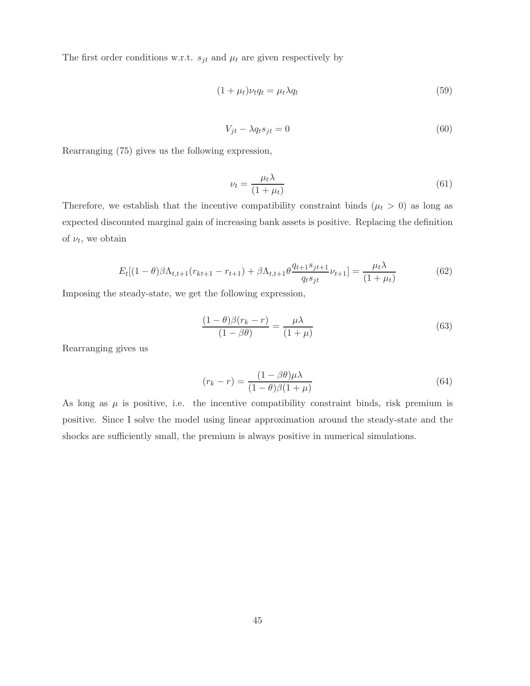The first order conditions w.r.t.  $s_{jt}$  and  $\mu_t$  are given respectively by

$$
(1 + \mu_t)\nu_t q_t = \mu_t \lambda q_t \tag{59}
$$

$$
V_{jt} - \lambda q_t s_{jt} = 0 \tag{60}
$$

Rearranging (75) gives us the following expression,

$$
\nu_t = \frac{\mu_t \lambda}{(1 + \mu_t)}\tag{61}
$$

Therefore, we establish that the incentive compatibility constraint binds ( $\mu_t > 0$ ) as long as expected discounted marginal gain of increasing bank assets is positive. Replacing the definition of  $\nu_t$ , we obtain

$$
E_t[(1-\theta)\beta\Lambda_{t,t+1}(r_{kt+1}-r_{t+1})+\beta\Lambda_{t,t+1}\theta\frac{q_{t+1}s_{jt+1}}{q_ts_{jt}}\nu_{t+1}] = \frac{\mu_t\lambda}{(1+\mu_t)}
$$
(62)

Imposing the steady-state, we get the following expression,

$$
\frac{(1-\theta)\beta(r_k-r)}{(1-\beta\theta)} = \frac{\mu\lambda}{(1+\mu)}
$$
\n(63)

Rearranging gives us

$$
(r_k - r) = \frac{(1 - \beta \theta)\mu\lambda}{(1 - \theta)\beta(1 + \mu)}
$$
\n(64)

As long as  $\mu$  is positive, i.e. the incentive compatibility constraint binds, risk premium is positive. Since I solve the model using linear approximation around the steady-state and the shocks are sufficiently small, the premium is always positive in numerical simulations.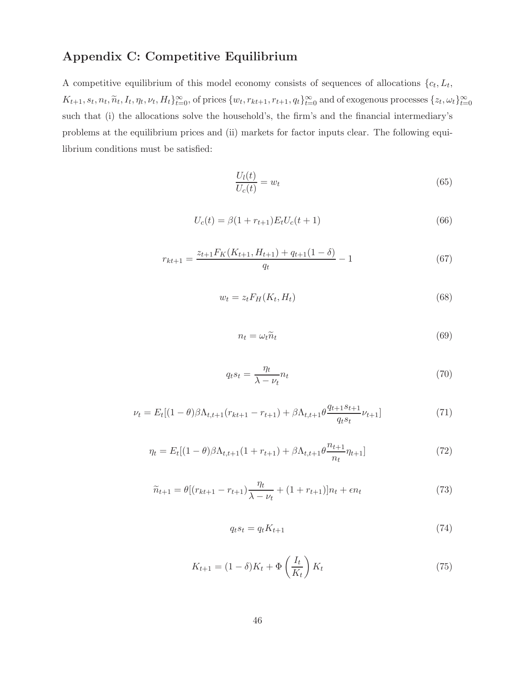## Appendix C: Competitive Equilibrium

A competitive equilibrium of this model economy consists of sequences of allocations  $\{c_t, L_t,$  $K_{t+1}, s_t, n_t, \widetilde{n}_t, I_t, \eta_t, \nu_t, H_t\}_{t=0}^{\infty}$ , of prices  $\{w_t, r_{kt+1}, r_{t+1}, q_t\}_{t=0}^{\infty}$  and of exogenous processes  $\{z_t, \omega_t\}_{t=0}^{\infty}$ such that (i) the allocations solve the household's, the firm's and the financial intermediary's problems at the equilibrium prices and (ii) markets for factor inputs clear. The following equilibrium conditions must be satisfied:

$$
\frac{U_l(t)}{U_c(t)} = w_t \tag{65}
$$

$$
U_c(t) = \beta (1 + r_{t+1}) E_t U_c(t+1)
$$
\n(66)

$$
r_{kt+1} = \frac{z_{t+1} F_K(K_{t+1}, H_{t+1}) + q_{t+1} (1 - \delta)}{q_t} - 1
$$
\n(67)

$$
w_t = z_t F_H(K_t, H_t) \tag{68}
$$

$$
n_t = \omega_t \tilde{n}_t \tag{69}
$$

$$
q_t s_t = \frac{\eta_t}{\lambda - \nu_t} n_t \tag{70}
$$

$$
\nu_t = E_t[(1-\theta)\beta\Lambda_{t,t+1}(r_{kt+1} - r_{t+1}) + \beta\Lambda_{t,t+1}\theta \frac{q_{t+1}s_{t+1}}{q_ts_t}\nu_{t+1}]
$$
\n(71)

$$
\eta_t = E_t[(1-\theta)\beta\Lambda_{t,t+1}(1+r_{t+1}) + \beta\Lambda_{t,t+1}\theta \frac{n_{t+1}}{n_t}\eta_{t+1}]
$$
\n(72)

$$
\widetilde{n}_{t+1} = \theta \left[ (r_{kt+1} - r_{t+1}) \frac{\eta_t}{\lambda - \nu_t} + (1 + r_{t+1}) \right] n_t + \epsilon n_t \tag{73}
$$

$$
q_t s_t = q_t K_{t+1} \tag{74}
$$

$$
K_{t+1} = (1 - \delta)K_t + \Phi\left(\frac{I_t}{K_t}\right)K_t
$$
\n(75)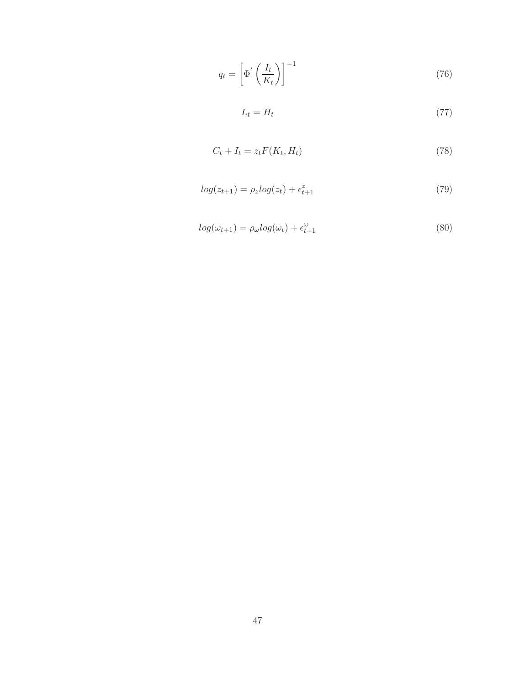$$
q_t = \left[ \Phi' \left( \frac{I_t}{K_t} \right) \right]^{-1} \tag{76}
$$

$$
L_t = H_t \tag{77}
$$

$$
C_t + I_t = z_t F(K_t, H_t)
$$
\n<sup>(78)</sup>

$$
log(z_{t+1}) = \rho_z log(z_t) + \epsilon_{t+1}^z
$$
\n(79)

$$
log(\omega_{t+1}) = \rho_{\omega} log(\omega_t) + \epsilon_{t+1}^{\omega}
$$
\n(80)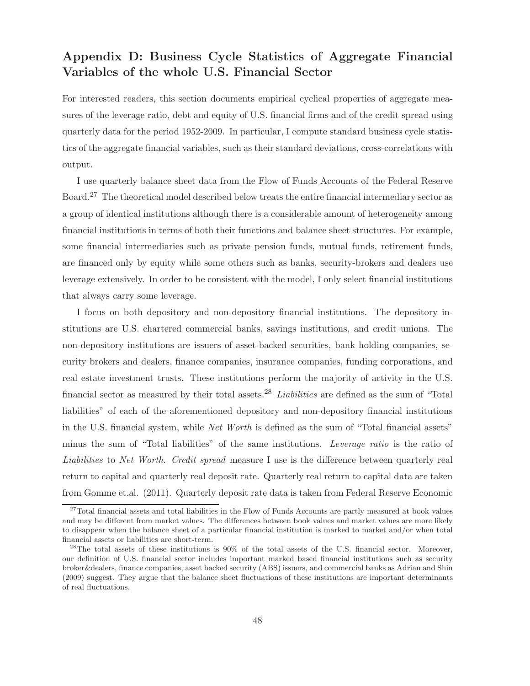## Appendix D: Business Cycle Statistics of Aggregate Financial Variables of the whole U.S. Financial Sector

For interested readers, this section documents empirical cyclical properties of aggregate measures of the leverage ratio, debt and equity of U.S. financial firms and of the credit spread using quarterly data for the period 1952-2009. In particular, I compute standard business cycle statistics of the aggregate financial variables, such as their standard deviations, cross-correlations with output.

I use quarterly balance sheet data from the Flow of Funds Accounts of the Federal Reserve Board.<sup>27</sup> The theoretical model described below treats the entire financial intermediary sector as a group of identical institutions although there is a considerable amount of heterogeneity among financial institutions in terms of both their functions and balance sheet structures. For example, some financial intermediaries such as private pension funds, mutual funds, retirement funds, are financed only by equity while some others such as banks, security-brokers and dealers use leverage extensively. In order to be consistent with the model, I only select financial institutions that always carry some leverage.

I focus on both depository and non-depository financial institutions. The depository institutions are U.S. chartered commercial banks, savings institutions, and credit unions. The non-depository institutions are issuers of asset-backed securities, bank holding companies, security brokers and dealers, finance companies, insurance companies, funding corporations, and real estate investment trusts. These institutions perform the majority of activity in the U.S. financial sector as measured by their total assets.<sup>28</sup> Liabilities are defined as the sum of "Total liabilities" of each of the aforementioned depository and non-depository financial institutions in the U.S. financial system, while Net Worth is defined as the sum of "Total financial assets" minus the sum of "Total liabilities" of the same institutions. Leverage ratio is the ratio of Liabilities to Net Worth. Credit spread measure I use is the difference between quarterly real return to capital and quarterly real deposit rate. Quarterly real return to capital data are taken from Gomme et.al. (2011). Quarterly deposit rate data is taken from Federal Reserve Economic

<sup>&</sup>lt;sup>27</sup>Total financial assets and total liabilities in the Flow of Funds Accounts are partly measured at book values and may be different from market values. The differences between book values and market values are more likely to disappear when the balance sheet of a particular financial institution is marked to market and/or when total financial assets or liabilities are short-term.

<sup>&</sup>lt;sup>28</sup>The total assets of these institutions is 90% of the total assets of the U.S. financial sector. Moreover, our definition of U.S. financial sector includes important marked based financial institutions such as security broker&dealers, finance companies, asset backed security (ABS) issuers, and commercial banks as Adrian and Shin (2009) suggest. They argue that the balance sheet fluctuations of these institutions are important determinants of real fluctuations.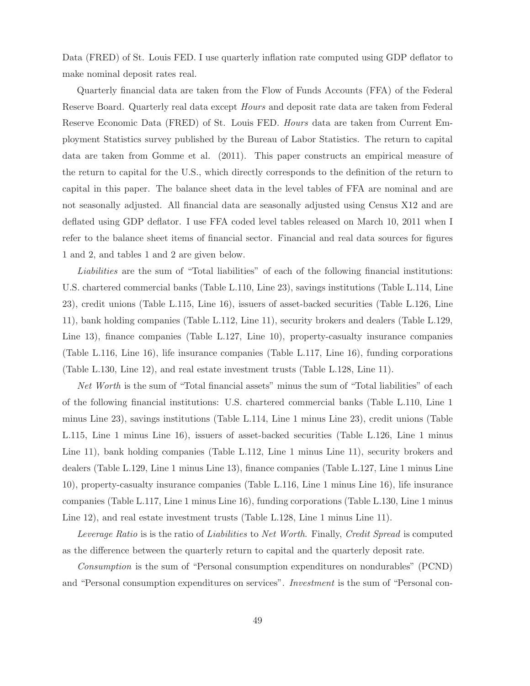Data (FRED) of St. Louis FED. I use quarterly inflation rate computed using GDP deflator to make nominal deposit rates real.

Quarterly financial data are taken from the Flow of Funds Accounts (FFA) of the Federal Reserve Board. Quarterly real data except Hours and deposit rate data are taken from Federal Reserve Economic Data (FRED) of St. Louis FED. Hours data are taken from Current Employment Statistics survey published by the Bureau of Labor Statistics. The return to capital data are taken from Gomme et al. (2011). This paper constructs an empirical measure of the return to capital for the U.S., which directly corresponds to the definition of the return to capital in this paper. The balance sheet data in the level tables of FFA are nominal and are not seasonally adjusted. All financial data are seasonally adjusted using Census X12 and are deflated using GDP deflator. I use FFA coded level tables released on March 10, 2011 when I refer to the balance sheet items of financial sector. Financial and real data sources for figures 1 and 2, and tables 1 and 2 are given below.

Liabilities are the sum of "Total liabilities" of each of the following financial institutions: U.S. chartered commercial banks (Table L.110, Line 23), savings institutions (Table L.114, Line 23), credit unions (Table L.115, Line 16), issuers of asset-backed securities (Table L.126, Line 11), bank holding companies (Table L.112, Line 11), security brokers and dealers (Table L.129, Line 13), finance companies (Table L.127, Line 10), property-casualty insurance companies (Table L.116, Line 16), life insurance companies (Table L.117, Line 16), funding corporations (Table L.130, Line 12), and real estate investment trusts (Table L.128, Line 11).

Net Worth is the sum of "Total financial assets" minus the sum of "Total liabilities" of each of the following financial institutions: U.S. chartered commercial banks (Table L.110, Line 1 minus Line 23), savings institutions (Table L.114, Line 1 minus Line 23), credit unions (Table L.115, Line 1 minus Line 16), issuers of asset-backed securities (Table L.126, Line 1 minus Line 11), bank holding companies (Table L.112, Line 1 minus Line 11), security brokers and dealers (Table L.129, Line 1 minus Line 13), finance companies (Table L.127, Line 1 minus Line 10), property-casualty insurance companies (Table L.116, Line 1 minus Line 16), life insurance companies (Table L.117, Line 1 minus Line 16), funding corporations (Table L.130, Line 1 minus Line 12), and real estate investment trusts (Table L.128, Line 1 minus Line 11).

Leverage Ratio is is the ratio of Liabilities to Net Worth. Finally, Credit Spread is computed as the difference between the quarterly return to capital and the quarterly deposit rate.

Consumption is the sum of "Personal consumption expenditures on nondurables" (PCND) and "Personal consumption expenditures on services". Investment is the sum of "Personal con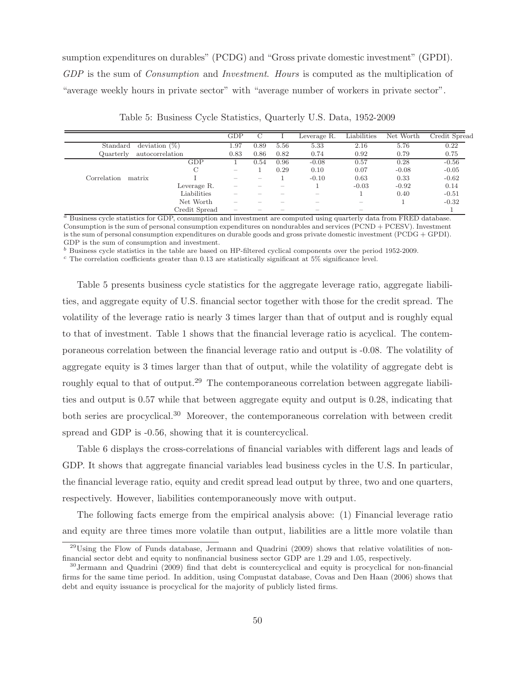sumption expenditures on durables" (PCDG) and "Gross private domestic investment" (GPDI). GDP is the sum of *Consumption* and *Investment. Hours* is computed as the multiplication of "average weekly hours in private sector" with "average number of workers in private sector".

|                       |                  | GDP                      |      |      | Leverage R. | Liabilities | Net Worth | Credit Spread |
|-----------------------|------------------|--------------------------|------|------|-------------|-------------|-----------|---------------|
| Standard              | deviation $(\%)$ |                          |      | 5.56 | 5.33        | 2.16        | 5.76      | 0.22          |
| Quarterly             | autocorrelation  |                          |      | 0.82 | 0.74        | 0.92        | 0.79      | 0.75          |
|                       | GDP              |                          | 0.54 | 0.96 | $-0.08$     | 0.57        | 0.28      | $-0.56$       |
|                       | С                | $\overline{\phantom{a}}$ |      | 0.29 | 0.10        | 0.07        | $-0.08$   | $-0.05$       |
| Correlation<br>matrix |                  | -                        |      |      | $-0.10$     | 0.63        | 0.33      | $-0.62$       |
|                       | Leverage R.      |                          |      |      |             | $-0.03$     | $-0.92$   | 0.14          |
|                       | Liabilities      |                          |      |      |             |             | 0.40      | $-0.51$       |
|                       | Net Worth        |                          |      |      |             |             |           | $-0.32$       |
|                       | Credit Spread    |                          |      |      |             | -           |           |               |

Table 5: Business Cycle Statistics, Quarterly U.S. Data, 1952-2009

 $a<sup>a</sup>$  Business cycle statistics for GDP, consumption and investment are computed using quarterly data from FRED database. Consumption is the sum of personal consumption expenditures on nondurables and services (PCND + PCESV). Investment is the sum of personal consumption expenditures on durable goods and gross private domestic investment (PCDG + GPDI). GDP is the sum of consumption and investment.

 $<sup>b</sup>$  Business cycle statistics in the table are based on HP-filtered cyclical components over the period 1952-2009.</sup>

 $c$  The correlation coefficients greater than 0.13 are statistically significant at 5% significance level.

Table 5 presents business cycle statistics for the aggregate leverage ratio, aggregate liabilities, and aggregate equity of U.S. financial sector together with those for the credit spread. The volatility of the leverage ratio is nearly 3 times larger than that of output and is roughly equal to that of investment. Table 1 shows that the financial leverage ratio is acyclical. The contemporaneous correlation between the financial leverage ratio and output is -0.08. The volatility of aggregate equity is 3 times larger than that of output, while the volatility of aggregate debt is roughly equal to that of output.<sup>29</sup> The contemporaneous correlation between aggregate liabilities and output is 0.57 while that between aggregate equity and output is 0.28, indicating that both series are procyclical.<sup>30</sup> Moreover, the contemporaneous correlation with between credit spread and GDP is -0.56, showing that it is countercyclical.

Table 6 displays the cross-correlations of financial variables with different lags and leads of GDP. It shows that aggregate financial variables lead business cycles in the U.S. In particular, the financial leverage ratio, equity and credit spread lead output by three, two and one quarters, respectively. However, liabilities contemporaneously move with output.

The following facts emerge from the empirical analysis above: (1) Financial leverage ratio and equity are three times more volatile than output, liabilities are a little more volatile than

 $^{29}$ Using the Flow of Funds database, Jermann and Quadrini (2009) shows that relative volatilities of nonfinancial sector debt and equity to nonfinancial business sector GDP are 1.29 and 1.05, respectively.

<sup>30</sup>Jermann and Quadrini (2009) find that debt is countercyclical and equity is procyclical for non-financial firms for the same time period. In addition, using Compustat database, Covas and Den Haan (2006) shows that debt and equity issuance is procyclical for the majority of publicly listed firms.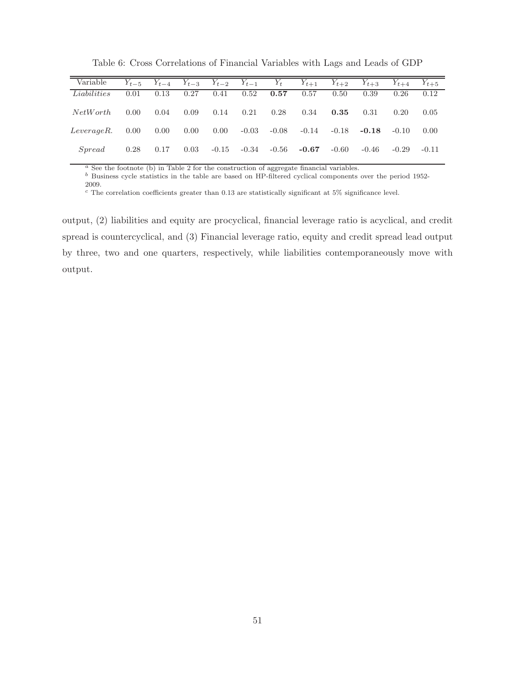| Variable    | $Y_{t-5}$      | $Y_{t-4}$ |          | $Y_{t-3}$ $Y_{t-2}$ $Y_{t-1}$ |         | $Y_t$   | $Y_{t+1}$ | $Y_{t+2}$ | $Y_{t+3}$ | $Y_{t+4}$ | $Y_{t+5}$ |
|-------------|----------------|-----------|----------|-------------------------------|---------|---------|-----------|-----------|-----------|-----------|-----------|
| Liabilities | 0.01           | 0.13      | 0.27     | 0.41                          | 0.52    | 0.57    | 0.57      | 0.50      | 0.39      | 0.26      | 0.12      |
| NetWork     | $0.00^{\circ}$ | 0.04      | 0.09     | 0.14                          | 0.21    | 0.28    | 0.34      | 0.35      | 0.31      | 0.20      | 0.05      |
| Leverage R. | 0.00           | 0.00      | $0.00\,$ | $0.00\,$                      | $-0.03$ | -0.08   | $-0.14$   | -0.18     | $-0.18$   | $-0.10$   | 0.00      |
| Spread      | 0.28           | 0.17      | 0.03     | $-0.15$                       | -0.34   | $-0.56$ | $-0.67$   | $-0.60$   | $-0.46$   | $-0.29$   | $-0.11$   |

Table 6: Cross Correlations of Financial Variables with Lags and Leads of GDP

<sup>a</sup> See the footnote (b) in Table 2 for the construction of aggregate financial variables.

b Business cycle statistics in the table are based on HP-filtered cyclical components over the period 1952-2009.

 $c$  The correlation coefficients greater than 0.13 are statistically significant at 5% significance level.

output, (2) liabilities and equity are procyclical, financial leverage ratio is acyclical, and credit spread is countercyclical, and (3) Financial leverage ratio, equity and credit spread lead output by three, two and one quarters, respectively, while liabilities contemporaneously move with output.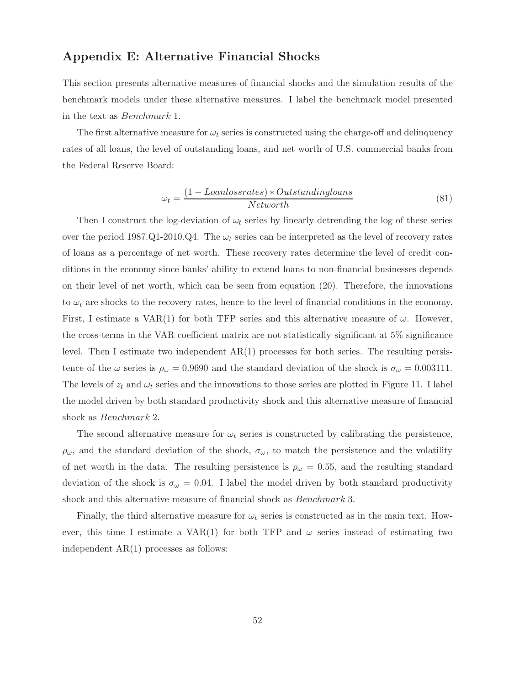## Appendix E: Alternative Financial Shocks

This section presents alternative measures of financial shocks and the simulation results of the benchmark models under these alternative measures. I label the benchmark model presented in the text as Benchmark 1.

The first alternative measure for  $\omega_t$  series is constructed using the charge-off and delinquency rates of all loans, the level of outstanding loans, and net worth of U.S. commercial banks from the Federal Reserve Board:

$$
\omega_t = \frac{(1 - Loanlossrates) * Outstandingloans}{Network}
$$
\n(81)

Then I construct the log-deviation of  $\omega_t$  series by linearly detrending the log of these series over the period 1987.Q1-2010.Q4. The  $\omega_t$  series can be interpreted as the level of recovery rates of loans as a percentage of net worth. These recovery rates determine the level of credit conditions in the economy since banks' ability to extend loans to non-financial businesses depends on their level of net worth, which can be seen from equation (20). Therefore, the innovations to  $\omega_t$  are shocks to the recovery rates, hence to the level of financial conditions in the economy. First, I estimate a VAR(1) for both TFP series and this alternative measure of  $\omega$ . However, the cross-terms in the VAR coefficient matrix are not statistically significant at 5% significance level. Then I estimate two independent  $AR(1)$  processes for both series. The resulting persistence of the  $\omega$  series is  $\rho_{\omega} = 0.9690$  and the standard deviation of the shock is  $\sigma_{\omega} = 0.003111$ . The levels of  $z_t$  and  $\omega_t$  series and the innovations to those series are plotted in Figure 11. I label the model driven by both standard productivity shock and this alternative measure of financial shock as Benchmark 2.

The second alternative measure for  $\omega_t$  series is constructed by calibrating the persistence,  $\rho_{\omega}$ , and the standard deviation of the shock,  $\sigma_{\omega}$ , to match the persistence and the volatility of net worth in the data. The resulting persistence is  $\rho_{\omega} = 0.55$ , and the resulting standard deviation of the shock is  $\sigma_{\omega} = 0.04$ . I label the model driven by both standard productivity shock and this alternative measure of financial shock as Benchmark 3.

Finally, the third alternative measure for  $\omega_t$  series is constructed as in the main text. However, this time I estimate a VAR(1) for both TFP and  $\omega$  series instead of estimating two independent AR(1) processes as follows: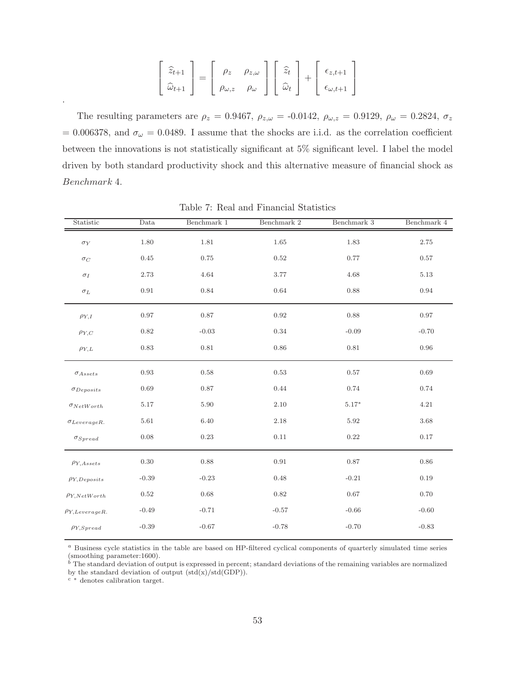$$
\begin{bmatrix} \hat{z}_{t+1} \\ \hat{\omega}_{t+1} \end{bmatrix} = \begin{bmatrix} \rho_z & \rho_{z,\omega} \\ \rho_{\omega,z} & \rho_{\omega} \end{bmatrix} \begin{bmatrix} \hat{z}_t \\ \hat{\omega}_t \end{bmatrix} + \begin{bmatrix} \epsilon_{z,t+1} \\ \epsilon_{\omega,t+1} \end{bmatrix}
$$

The resulting parameters are  $\rho_z = 0.9467$ ,  $\rho_{z,\omega} = -0.0142$ ,  $\rho_{\omega,z} = 0.9129$ ,  $\rho_{\omega} = 0.2824$ ,  $\sigma_z$ = 0.006378, and  $\sigma_{\omega}$  = 0.0489. I assume that the shocks are i.i.d. as the correlation coefficient between the innovations is not statistically significant at 5% significant level. I label the model driven by both standard productivity shock and this alternative measure of financial shock as Benchmark 4.

| Statistic             | Data       | Benchmark 1 | Benchmark 2 | Benchmark 3 | Benchmark $4\,$ |
|-----------------------|------------|-------------|-------------|-------------|-----------------|
| $\sigma_Y$            | $1.80\,$   | 1.81        | $1.65\,$    | 1.83        | $2.75\,$        |
| $\sigma_C$            | 0.45       | 0.75        | 0.52        | 0.77        | 0.57            |
| $\sigma_I$            | $2.73\,$   | 4.64        | $3.77\,$    | 4.68        | 5.13            |
| $\sigma_L$            | 0.91       | 0.84        | $\,0.64\,$  | 0.88        | $\rm 0.94$      |
| $\rho_{Y,I}$          | 0.97       | $0.87\,$    | $\rm 0.92$  | 0.88        | 0.97            |
| $\rho_{Y,C}$          | 0.82       | $-0.03$     | 0.34        | $-0.09$     | $-0.70$         |
| $\rho_{Y,L}$          | $0.83\,$   | $\rm 0.81$  | 0.86        | $0.81\,$    | 0.96            |
| $\sigma_{Assets}$     | 0.93       | 0.58        | $\rm 0.53$  | $0.57\,$    | 0.69            |
| $\sigma_{Deposits}$   | 0.69       | 0.87        | 0.44        | 0.74        | 0.74            |
| $\sigma_{NetWorth}$   | 5.17       | 5.90        | 2.10        | $5.17*$     | 4.21            |
| $\sigma_{LeverageR.}$ | $5.61\,$   | 6.40        | 2.18        | 5.92        | 3.68            |
| $\sigma_{Spread}$     | $0.08\,$   | $0.23\,$    | $0.11\,$    | $\rm 0.22$  | 0.17            |
| $\rho_{Y,Assets}$     | $0.30\,$   | 0.88        | 0.91        | $0.87\,$    | 0.86            |
| $\rho_{Y,Deposits}$   | $-0.39$    | $-0.23$     | 0.48        | $-0.21$     | 0.19            |
| $\rho_{Y,NetWorld}$   | $\rm 0.52$ | 0.68        | 0.82        | 0.67        | 0.70            |
| $\rho_{Y,LeverageR.}$ | $-0.49$    | $-0.71$     | $-0.57$     | $-0.66$     | $-0.60$         |
| $\rho_{Y,Spread}$     | $-0.39$    | $-0.67$     | $-0.78$     | $-0.70$     | $-0.83$         |

Table 7: Real and Financial Statistics

 $a$  Business cycle statistics in the table are based on HP-filtered cyclical components of quarterly simulated time series (smoothing parameter:1600).

 $b<sup>b</sup>$  The standard deviation of output is expressed in percent; standard deviations of the remaining variables are normalized by the standard deviation of output  $(std(x)/std(GDP))$ .

<sup>c</sup> <sup>∗</sup> denotes calibration target.

.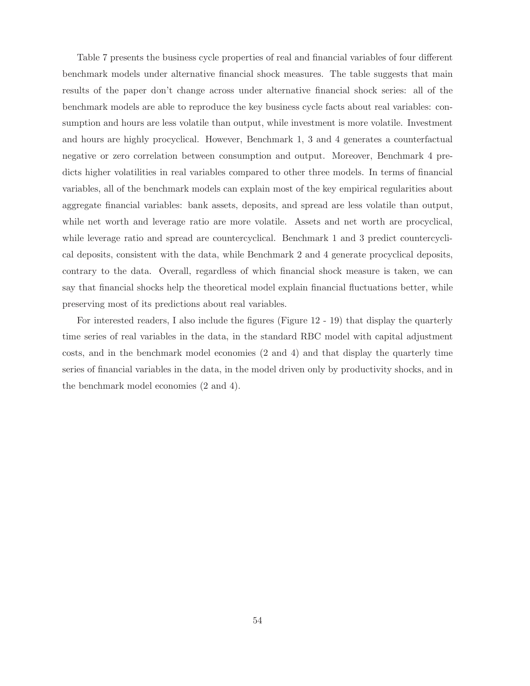Table 7 presents the business cycle properties of real and financial variables of four different benchmark models under alternative financial shock measures. The table suggests that main results of the paper don't change across under alternative financial shock series: all of the benchmark models are able to reproduce the key business cycle facts about real variables: consumption and hours are less volatile than output, while investment is more volatile. Investment and hours are highly procyclical. However, Benchmark 1, 3 and 4 generates a counterfactual negative or zero correlation between consumption and output. Moreover, Benchmark 4 predicts higher volatilities in real variables compared to other three models. In terms of financial variables, all of the benchmark models can explain most of the key empirical regularities about aggregate financial variables: bank assets, deposits, and spread are less volatile than output, while net worth and leverage ratio are more volatile. Assets and net worth are procyclical, while leverage ratio and spread are countercyclical. Benchmark 1 and 3 predict countercyclical deposits, consistent with the data, while Benchmark 2 and 4 generate procyclical deposits, contrary to the data. Overall, regardless of which financial shock measure is taken, we can say that financial shocks help the theoretical model explain financial fluctuations better, while preserving most of its predictions about real variables.

For interested readers, I also include the figures (Figure 12 - 19) that display the quarterly time series of real variables in the data, in the standard RBC model with capital adjustment costs, and in the benchmark model economies (2 and 4) and that display the quarterly time series of financial variables in the data, in the model driven only by productivity shocks, and in the benchmark model economies (2 and 4).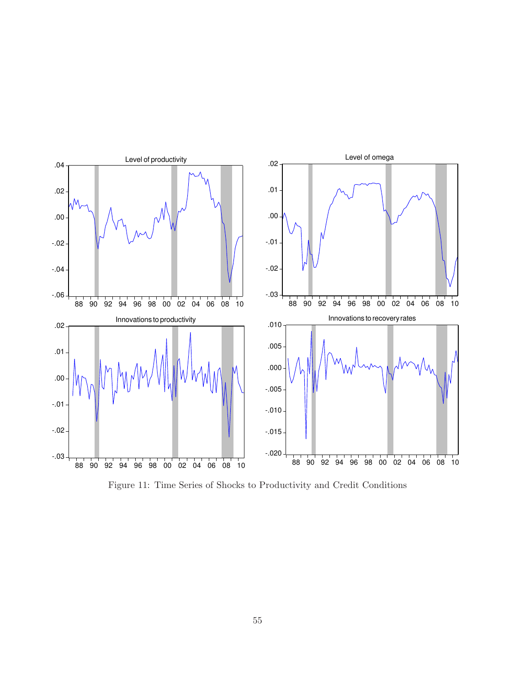

Figure 11: Time Series of Shocks to Productivity and Credit Conditions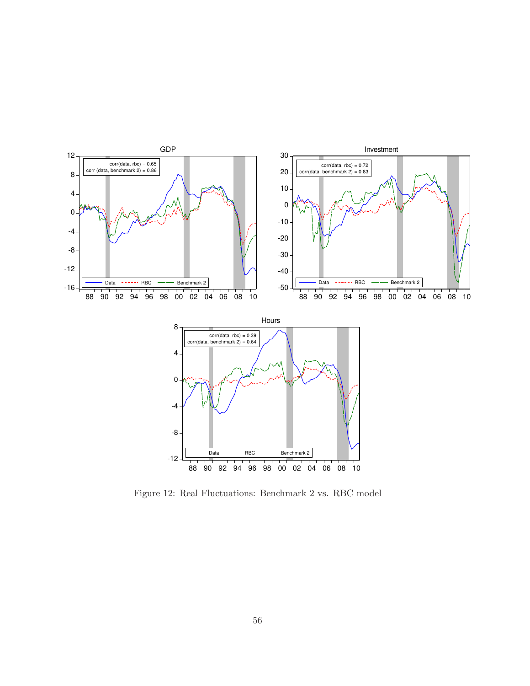

Figure 12: Real Fluctuations: Benchmark 2 vs. RBC model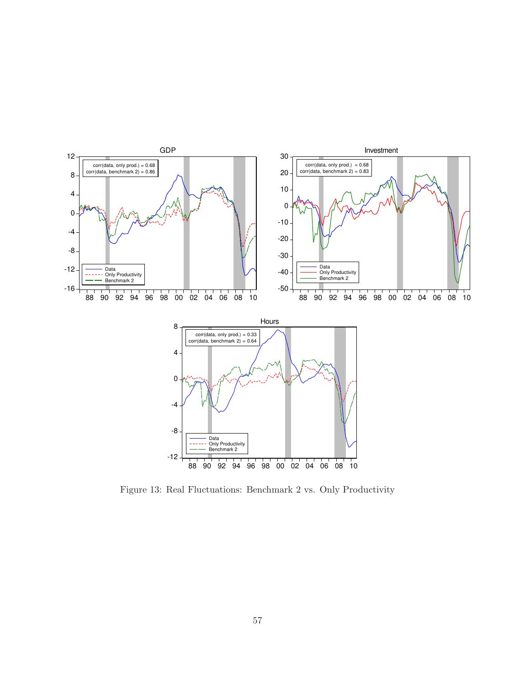

Figure 13: Real Fluctuations: Benchmark 2 vs. Only Productivity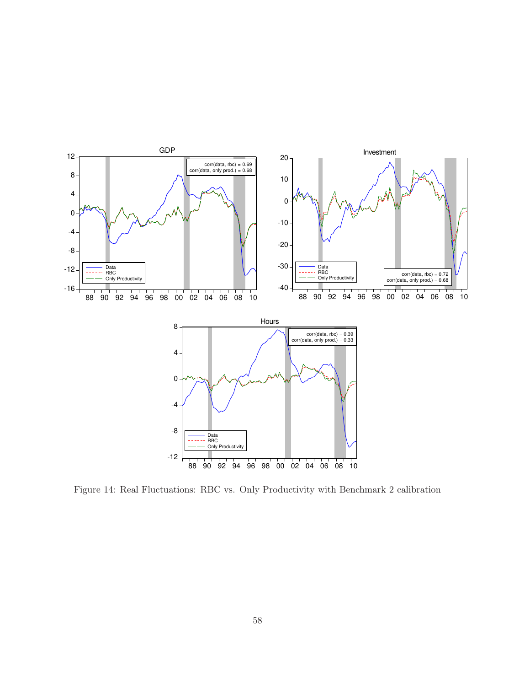

Figure 14: Real Fluctuations: RBC vs. Only Productivity with Benchmark 2 calibration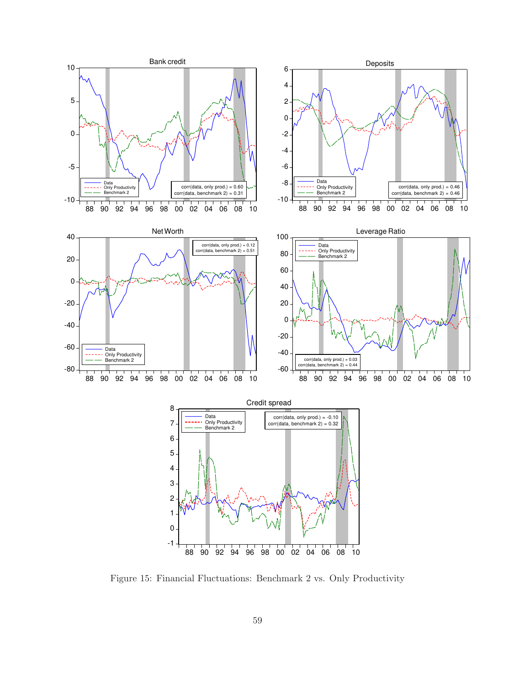

Figure 15: Financial Fluctuations: Benchmark 2 vs. Only Productivity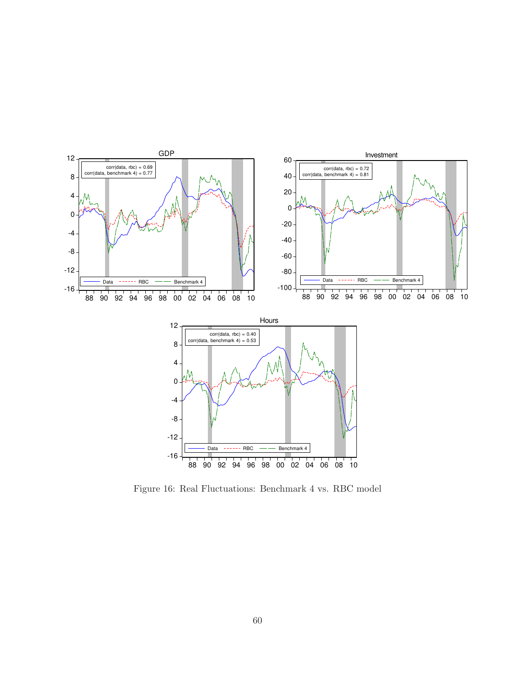

Figure 16: Real Fluctuations: Benchmark 4 vs. RBC model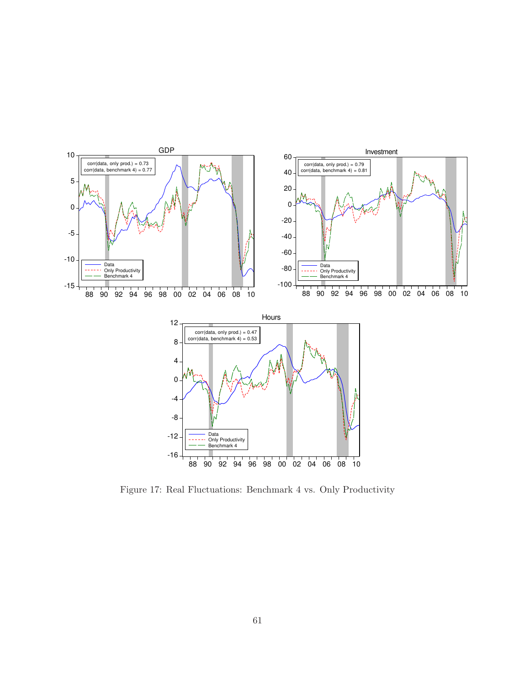

Figure 17: Real Fluctuations: Benchmark 4 vs. Only Productivity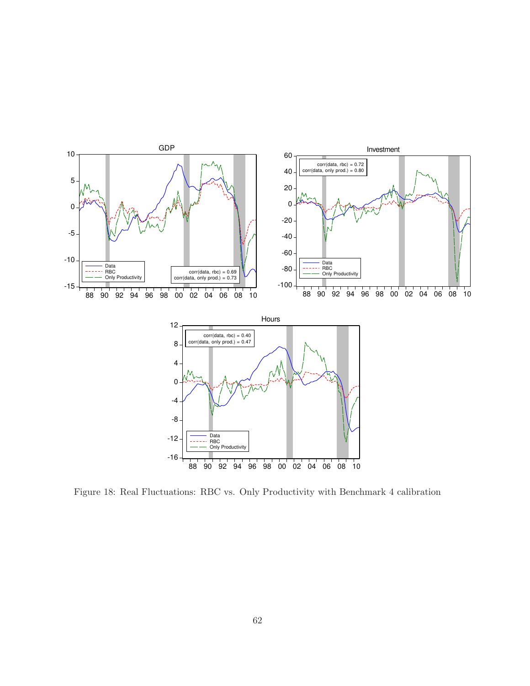

Figure 18: Real Fluctuations: RBC vs. Only Productivity with Benchmark 4 calibration